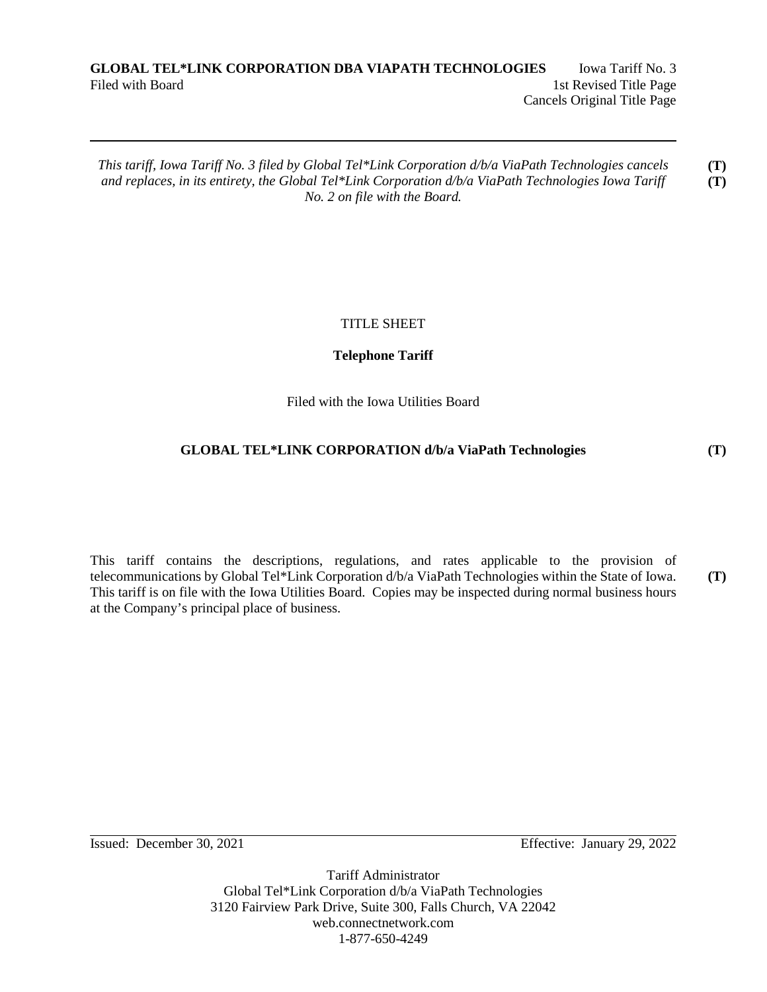## **GLOBAL TEL\*LINK CORPORATION DBA VIAPATH TECHNOLOGIES** Iowa Tariff No. 3 Filed with Board 1st Revised Title Page Cancels Original Title Page

*This tariff, Iowa Tariff No. 3 filed by Global Tel\*Link Corporation d/b/a ViaPath Technologies cancels and replaces, in its entirety, the Global Tel\*Link Corporation d/b/a ViaPath Technologies Iowa Tariff No. 2 on file with the Board.* **(T) (T)** 

# TITLE SHEET

# **Telephone Tariff**

Filed with the Iowa Utilities Board

# **GLOBAL TEL\*LINK CORPORATION d/b/a ViaPath Technologies**

This tariff contains the descriptions, regulations, and rates applicable to the provision of telecommunications by Global Tel\*Link Corporation d/b/a ViaPath Technologies within the State of Iowa. This tariff is on file with the Iowa Utilities Board. Copies may be inspected during normal business hours at the Company's principal place of business. **(T)** 

Issued: December 30, 2021 Effective: January 29, 2022

Tariff Administrator Global Tel\*Link Corporation d/b/a ViaPath Technologies 3120 Fairview Park Drive, Suite 300, Falls Church, VA 22042 web.connectnetwork.com 1-877-650-4249

## **(T)**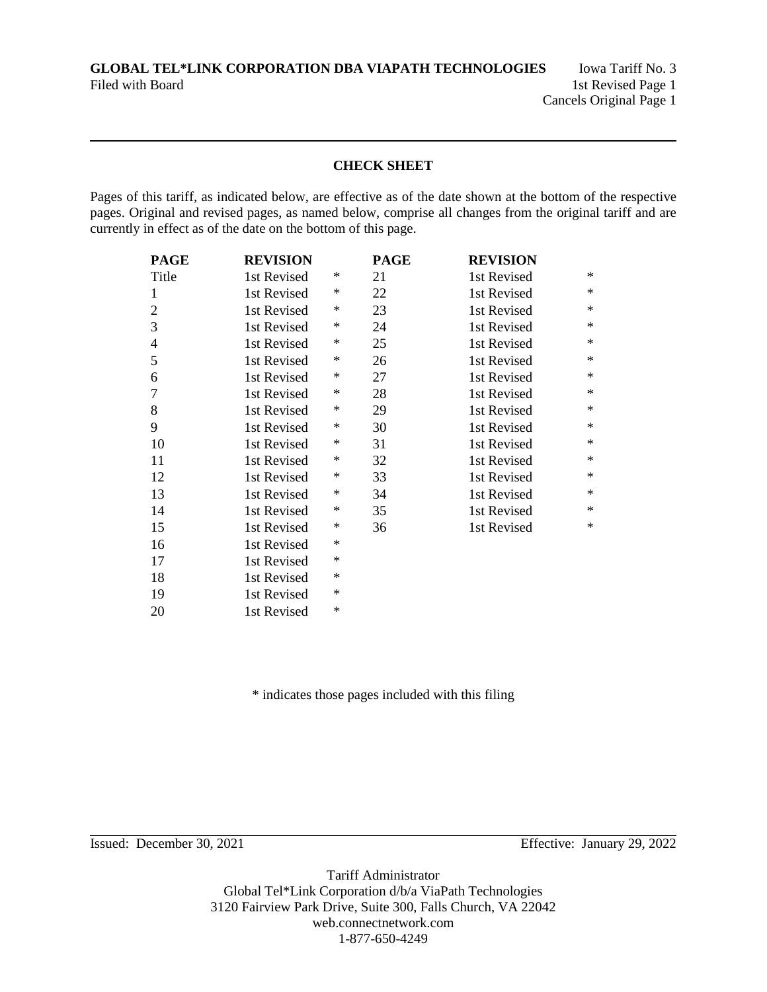**GLOBAL TEL\*LINK CORPORATION DBA VIAPATH TECHNOLOGIES** Iowa Tariff No. 3 Filed with Board 1st Revised Page 1

# **CHECK SHEET**

Pages of this tariff, as indicated below, are effective as of the date shown at the bottom of the respective pages. Original and revised pages, as named below, comprise all changes from the original tariff and are currently in effect as of the date on the bottom of this page.

| <b>PAGE</b>    | <b>REVISION</b> |        | <b>PAGE</b> | <b>REVISION</b> |        |
|----------------|-----------------|--------|-------------|-----------------|--------|
| Title          | 1st Revised     | ∗      | 21          | 1st Revised     | $\ast$ |
| 1              | 1st Revised     | ∗      | 22          | 1st Revised     | $\ast$ |
| $\overline{2}$ | 1st Revised     | ∗      | 23          | 1st Revised     | $\ast$ |
| 3              | 1st Revised     | ∗      | 24          | 1st Revised     | $\ast$ |
| $\overline{4}$ | 1st Revised     | ∗      | 25          | 1st Revised     | $\ast$ |
| 5              | 1st Revised     | ∗      | 26          | 1st Revised     | $\ast$ |
| 6              | 1st Revised     | ∗      | 27          | 1st Revised     | $\ast$ |
| 7              | 1st Revised     | ∗      | 28          | 1st Revised     | $\ast$ |
| 8              | 1st Revised     | ∗      | 29          | 1st Revised     | $\ast$ |
| 9              | 1st Revised     | ∗      | 30          | 1st Revised     | $\ast$ |
| 10             | 1st Revised     | ∗      | 31          | 1st Revised     | $\ast$ |
| 11             | 1st Revised     | ∗      | 32          | 1st Revised     | $\ast$ |
| 12             | 1st Revised     | ∗      | 33          | 1st Revised     | $\ast$ |
| 13             | 1st Revised     | ∗      | 34          | 1st Revised     | $\ast$ |
| 14             | 1st Revised     | ∗      | 35          | 1st Revised     | $\ast$ |
| 15             | 1st Revised     | ∗      | 36          | 1st Revised     | $\ast$ |
| 16             | 1st Revised     | ∗      |             |                 |        |
| 17             | 1st Revised     | $\ast$ |             |                 |        |
| 18             | 1st Revised     | $\ast$ |             |                 |        |
| 19             | 1st Revised     | $\ast$ |             |                 |        |
| 20             | 1st Revised     | $\ast$ |             |                 |        |

\* indicates those pages included with this filing

Issued: December 30, 2021 Effective: January 29, 2022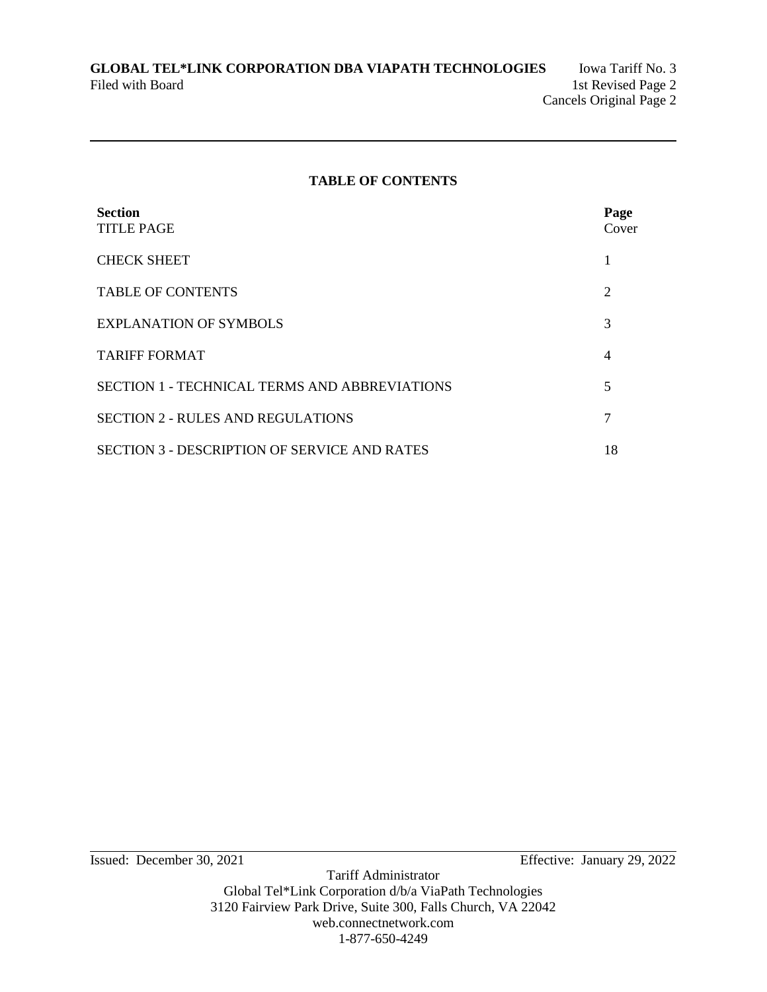## **TABLE OF CONTENTS**

| <b>Section</b><br><b>TITLE PAGE</b>                  | Page<br>Cover  |
|------------------------------------------------------|----------------|
| <b>CHECK SHEET</b>                                   | 1              |
| <b>TABLE OF CONTENTS</b>                             | $\overline{2}$ |
| <b>EXPLANATION OF SYMBOLS</b>                        | 3              |
| <b>TARIFF FORMAT</b>                                 | $\overline{4}$ |
| <b>SECTION 1 - TECHNICAL TERMS AND ABBREVIATIONS</b> | 5              |
| <b>SECTION 2 - RULES AND REGULATIONS</b>             | 7              |
| <b>SECTION 3 - DESCRIPTION OF SERVICE AND RATES</b>  | 18             |

Issued: December 30, 2021 Effective: January 29, 2022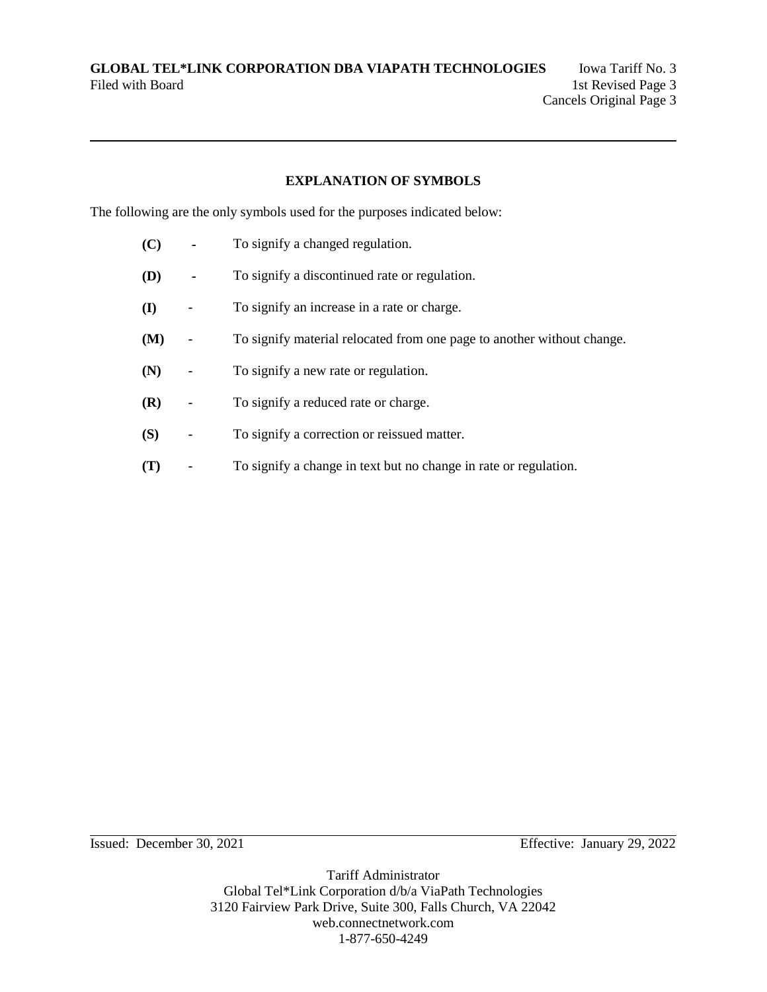### **EXPLANATION OF SYMBOLS**

The following are the only symbols used for the purposes indicated below:

- **(C)** To signify a changed regulation.
- **(D)** To signify a discontinued rate or regulation.
- **(I)** To signify an increase in a rate or charge.
- **(M)** To signify material relocated from one page to another without change.
- **(N)** To signify a new rate or regulation.
- **(R)** To signify a reduced rate or charge.
- **(S)** To signify a correction or reissued matter.
- **(T)** To signify a change in text but no change in rate or regulation.

Issued: December 30, 2021 Effective: January 29, 2022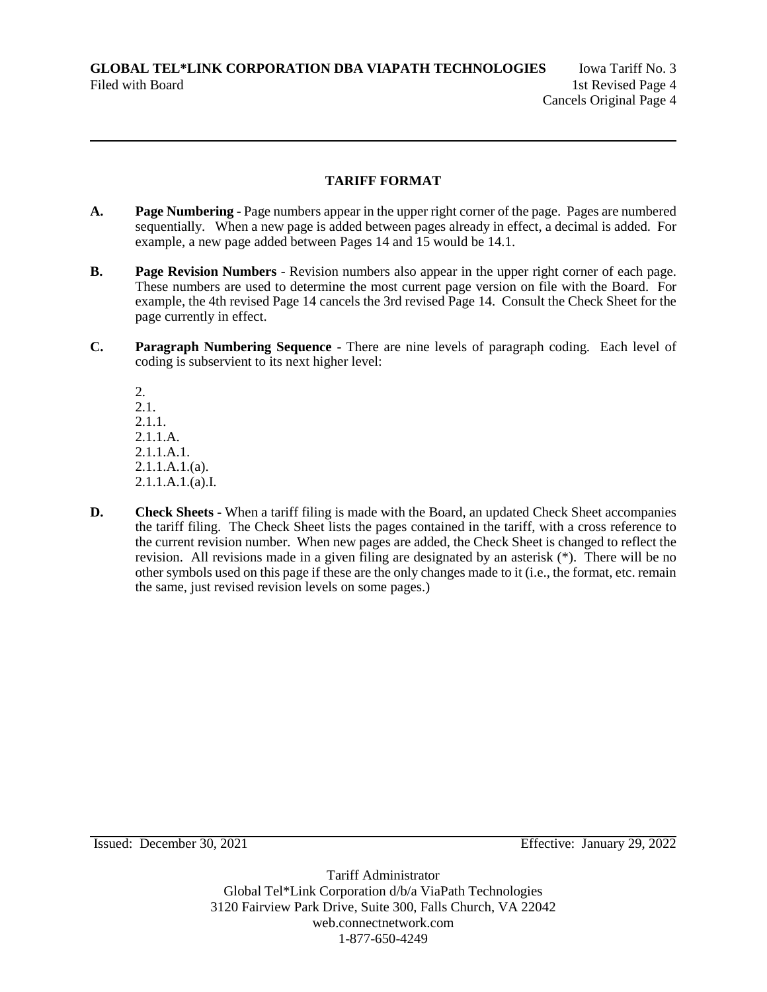### **TARIFF FORMAT**

- **A.** Page Numbering Page numbers appear in the upper right corner of the page. Pages are numbered sequentially. When a new page is added between pages already in effect, a decimal is added. For example, a new page added between Pages 14 and 15 would be 14.1.
- **B. Page Revision Numbers** Revision numbers also appear in the upper right corner of each page. These numbers are used to determine the most current page version on file with the Board. For example, the 4th revised Page 14 cancels the 3rd revised Page 14. Consult the Check Sheet for the page currently in effect.
- **C. Paragraph Numbering Sequence** There are nine levels of paragraph coding. Each level of coding is subservient to its next higher level:

2. 2.1. 2.1.1. 2.1.1.A. 2.1.1.A.1. 2.1.1.A.1.(a). 2.1.1.A.1.(a).I.

**D.** Check Sheets - When a tariff filing is made with the Board, an updated Check Sheet accompanies the tariff filing. The Check Sheet lists the pages contained in the tariff, with a cross reference to the current revision number. When new pages are added, the Check Sheet is changed to reflect the revision. All revisions made in a given filing are designated by an asterisk (\*). There will be no other symbols used on this page if these are the only changes made to it (i.e., the format, etc. remain the same, just revised revision levels on some pages.)

Issued: December 30, 2021 Effective: January 29, 2022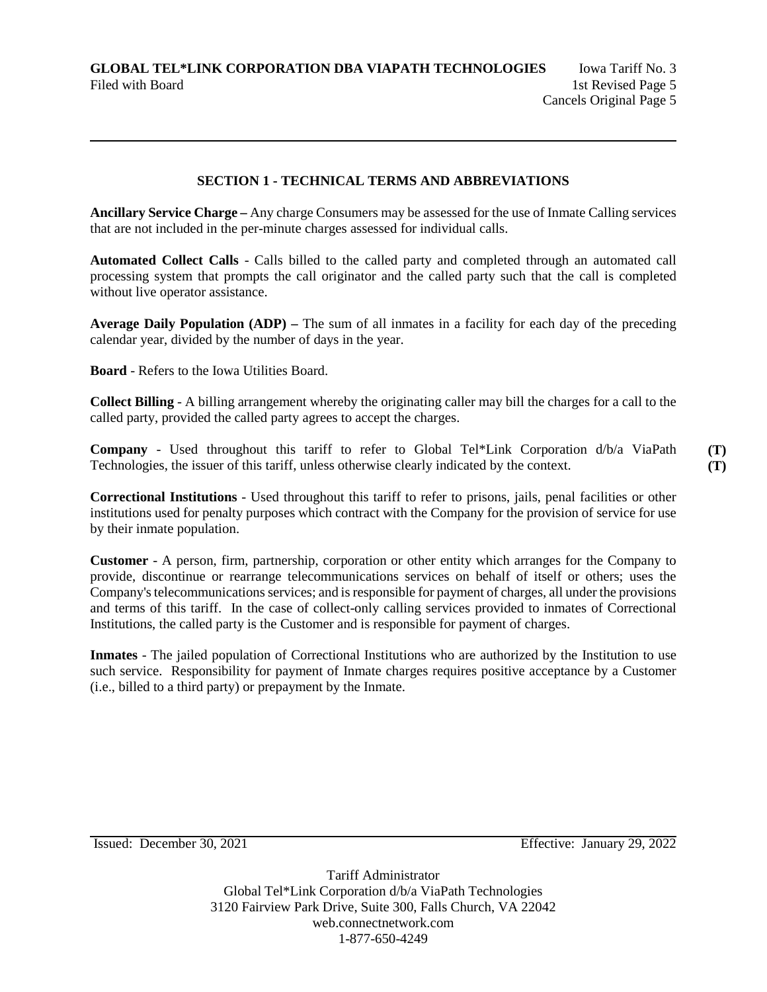### **SECTION 1 - TECHNICAL TERMS AND ABBREVIATIONS**

**Ancillary Service Charge –** Any charge Consumers may be assessed for the use of Inmate Calling services that are not included in the per-minute charges assessed for individual calls.

**Automated Collect Calls** - Calls billed to the called party and completed through an automated call processing system that prompts the call originator and the called party such that the call is completed without live operator assistance.

**Average Daily Population (ADP) –** The sum of all inmates in a facility for each day of the preceding calendar year, divided by the number of days in the year.

**Board** - Refers to the Iowa Utilities Board.

**Collect Billing** - A billing arrangement whereby the originating caller may bill the charges for a call to the called party, provided the called party agrees to accept the charges.

**Company** - Used throughout this tariff to refer to Global Tel\*Link Corporation d/b/a ViaPath Technologies, the issuer of this tariff, unless otherwise clearly indicated by the context.

**Correctional Institutions** - Used throughout this tariff to refer to prisons, jails, penal facilities or other institutions used for penalty purposes which contract with the Company for the provision of service for use by their inmate population.

**Customer** - A person, firm, partnership, corporation or other entity which arranges for the Company to provide, discontinue or rearrange telecommunications services on behalf of itself or others; uses the Company's telecommunications services; and is responsible for payment of charges, all under the provisions and terms of this tariff. In the case of collect-only calling services provided to inmates of Correctional Institutions, the called party is the Customer and is responsible for payment of charges.

**Inmates** - The jailed population of Correctional Institutions who are authorized by the Institution to use such service. Responsibility for payment of Inmate charges requires positive acceptance by a Customer (i.e., billed to a third party) or prepayment by the Inmate.

Issued: December 30, 2021 Effective: January 29, 2022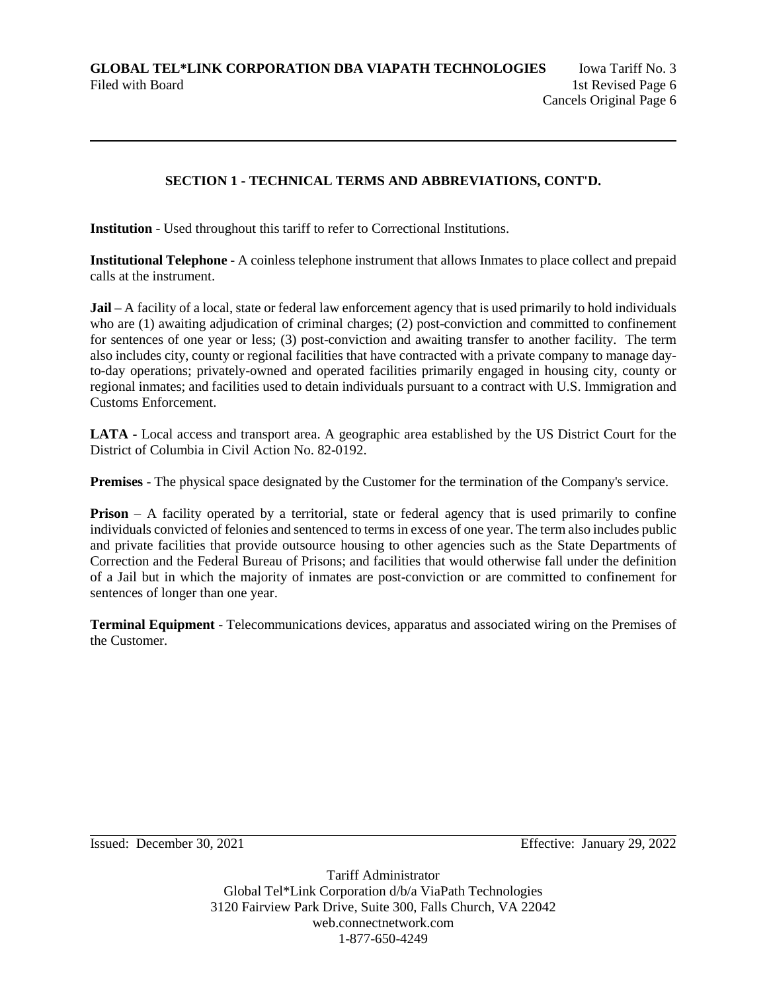## **SECTION 1 - TECHNICAL TERMS AND ABBREVIATIONS, CONT'D.**

**Institution** - Used throughout this tariff to refer to Correctional Institutions.

**Institutional Telephone** - A coinless telephone instrument that allows Inmates to place collect and prepaid calls at the instrument.

**Jail** – A facility of a local, state or federal law enforcement agency that is used primarily to hold individuals who are (1) awaiting adjudication of criminal charges; (2) post-conviction and committed to confinement for sentences of one year or less; (3) post-conviction and awaiting transfer to another facility. The term also includes city, county or regional facilities that have contracted with a private company to manage dayto-day operations; privately-owned and operated facilities primarily engaged in housing city, county or regional inmates; and facilities used to detain individuals pursuant to a contract with U.S. Immigration and Customs Enforcement.

**LATA** - Local access and transport area. A geographic area established by the US District Court for the District of Columbia in Civil Action No. 82-0192.

**Premises** - The physical space designated by the Customer for the termination of the Company's service.

**Prison** – A facility operated by a territorial, state or federal agency that is used primarily to confine individuals convicted of felonies and sentenced to terms in excess of one year. The term also includes public and private facilities that provide outsource housing to other agencies such as the State Departments of Correction and the Federal Bureau of Prisons; and facilities that would otherwise fall under the definition of a Jail but in which the majority of inmates are post-conviction or are committed to confinement for sentences of longer than one year.

**Terminal Equipment** - Telecommunications devices, apparatus and associated wiring on the Premises of the Customer.

Issued: December 30, 2021 Effective: January 29, 2022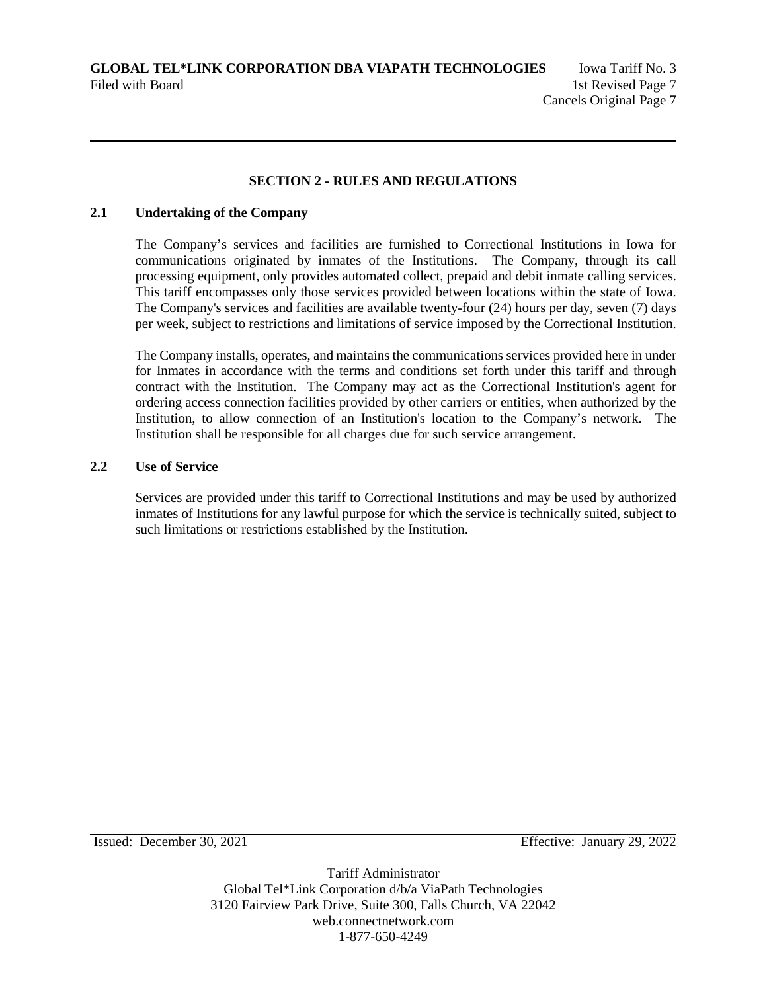### **SECTION 2 - RULES AND REGULATIONS**

## **2.1 Undertaking of the Company**

The Company's services and facilities are furnished to Correctional Institutions in Iowa for communications originated by inmates of the Institutions. The Company, through its call processing equipment, only provides automated collect, prepaid and debit inmate calling services. This tariff encompasses only those services provided between locations within the state of Iowa. The Company's services and facilities are available twenty-four (24) hours per day, seven (7) days per week, subject to restrictions and limitations of service imposed by the Correctional Institution.

The Company installs, operates, and maintains the communications services provided here in under for Inmates in accordance with the terms and conditions set forth under this tariff and through contract with the Institution. The Company may act as the Correctional Institution's agent for ordering access connection facilities provided by other carriers or entities, when authorized by the Institution, to allow connection of an Institution's location to the Company's network. The Institution shall be responsible for all charges due for such service arrangement.

### **2.2 Use of Service**

Services are provided under this tariff to Correctional Institutions and may be used by authorized inmates of Institutions for any lawful purpose for which the service is technically suited, subject to such limitations or restrictions established by the Institution.

Issued: December 30, 2021 Effective: January 29, 2022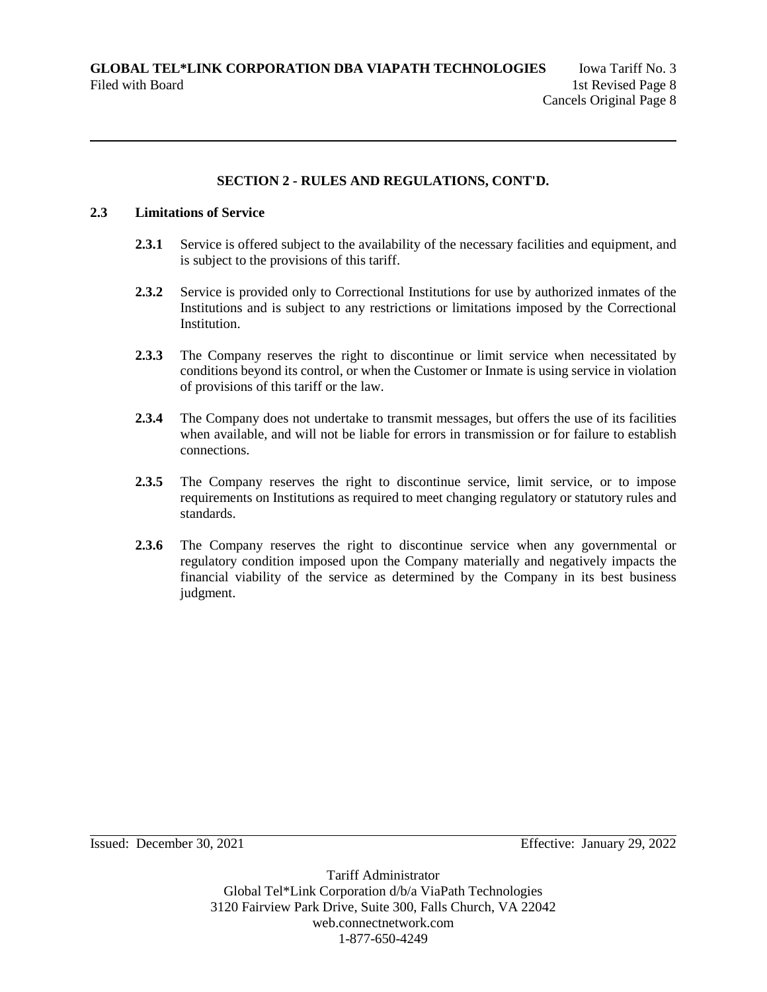#### **2.3 Limitations of Service**

- **2.3.1** Service is offered subject to the availability of the necessary facilities and equipment, and is subject to the provisions of this tariff.
- **2.3.2** Service is provided only to Correctional Institutions for use by authorized inmates of the Institutions and is subject to any restrictions or limitations imposed by the Correctional Institution.
- **2.3.3** The Company reserves the right to discontinue or limit service when necessitated by conditions beyond its control, or when the Customer or Inmate is using service in violation of provisions of this tariff or the law.
- **2.3.4** The Company does not undertake to transmit messages, but offers the use of its facilities when available, and will not be liable for errors in transmission or for failure to establish connections.
- 2.3.5 The Company reserves the right to discontinue service, limit service, or to impose requirements on Institutions as required to meet changing regulatory or statutory rules and standards.
- **2.3.6** The Company reserves the right to discontinue service when any governmental or regulatory condition imposed upon the Company materially and negatively impacts the financial viability of the service as determined by the Company in its best business judgment.

Issued: December 30, 2021 Effective: January 29, 2022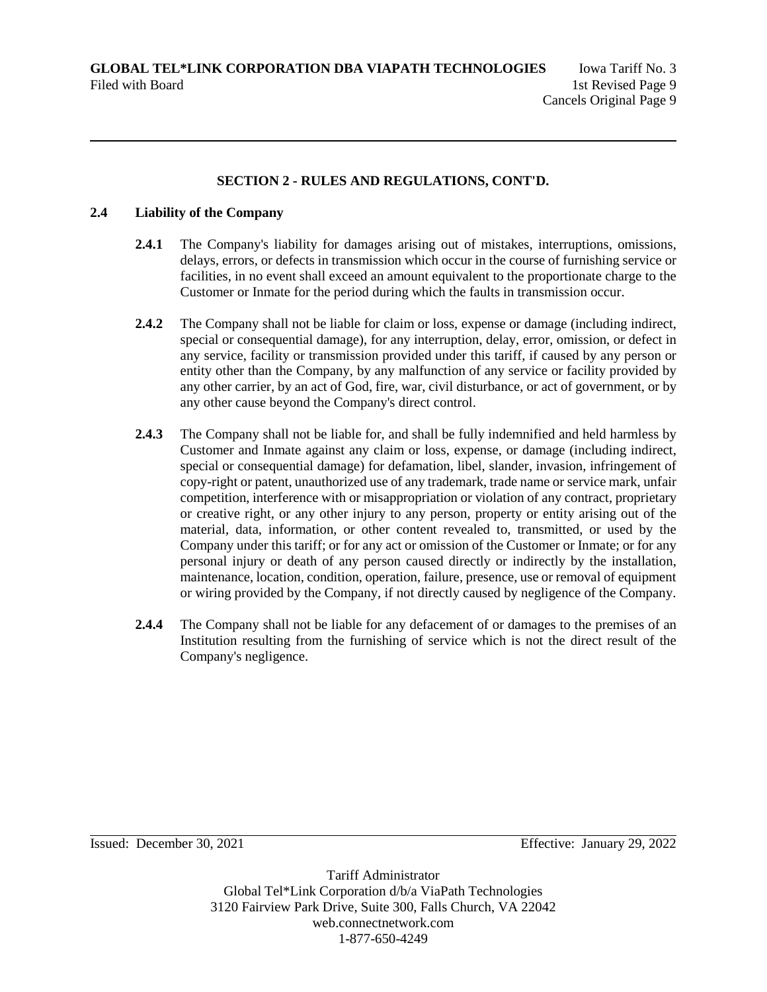### **2.4 Liability of the Company**

- **2.4.1** The Company's liability for damages arising out of mistakes, interruptions, omissions, delays, errors, or defects in transmission which occur in the course of furnishing service or facilities, in no event shall exceed an amount equivalent to the proportionate charge to the Customer or Inmate for the period during which the faults in transmission occur.
- **2.4.2** The Company shall not be liable for claim or loss, expense or damage (including indirect, special or consequential damage), for any interruption, delay, error, omission, or defect in any service, facility or transmission provided under this tariff, if caused by any person or entity other than the Company, by any malfunction of any service or facility provided by any other carrier, by an act of God, fire, war, civil disturbance, or act of government, or by any other cause beyond the Company's direct control.
- **2.4.3** The Company shall not be liable for, and shall be fully indemnified and held harmless by Customer and Inmate against any claim or loss, expense, or damage (including indirect, special or consequential damage) for defamation, libel, slander, invasion, infringement of copy-right or patent, unauthorized use of any trademark, trade name or service mark, unfair competition, interference with or misappropriation or violation of any contract, proprietary or creative right, or any other injury to any person, property or entity arising out of the material, data, information, or other content revealed to, transmitted, or used by the Company under this tariff; or for any act or omission of the Customer or Inmate; or for any personal injury or death of any person caused directly or indirectly by the installation, maintenance, location, condition, operation, failure, presence, use or removal of equipment or wiring provided by the Company, if not directly caused by negligence of the Company.
- **2.4.4** The Company shall not be liable for any defacement of or damages to the premises of an Institution resulting from the furnishing of service which is not the direct result of the Company's negligence.

Issued: December 30, 2021 Effective: January 29, 2022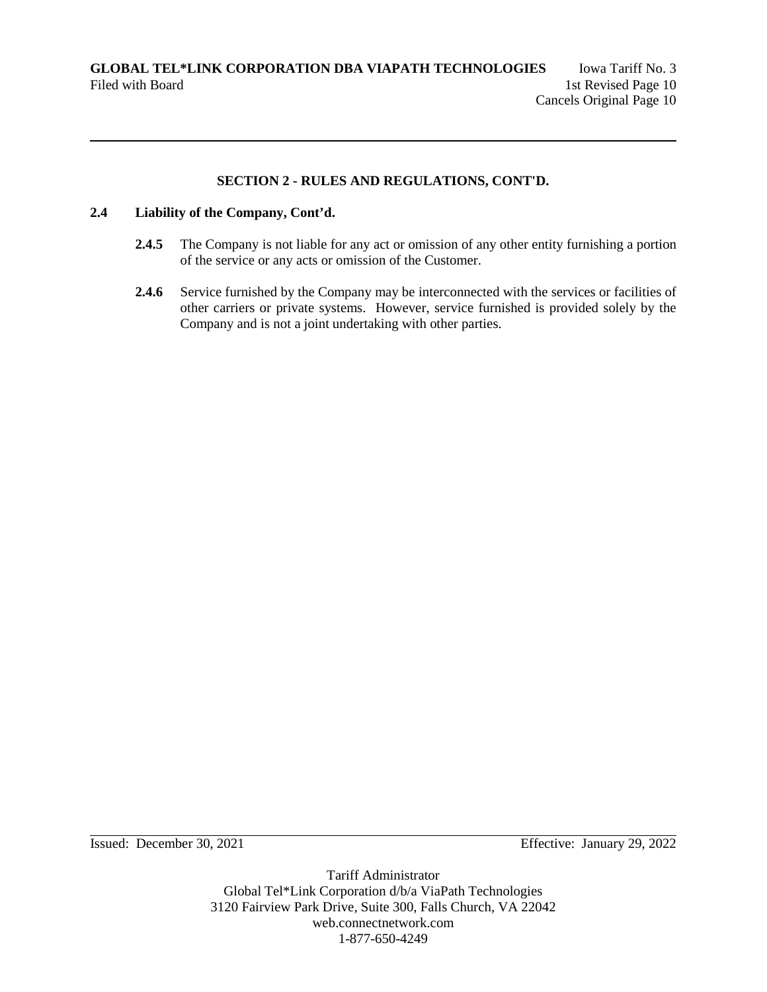### **2.4 Liability of the Company, Cont'd.**

- **2.4.5** The Company is not liable for any act or omission of any other entity furnishing a portion of the service or any acts or omission of the Customer.
- **2.4.6** Service furnished by the Company may be interconnected with the services or facilities of other carriers or private systems. However, service furnished is provided solely by the Company and is not a joint undertaking with other parties.

Issued: December 30, 2021 Effective: January 29, 2022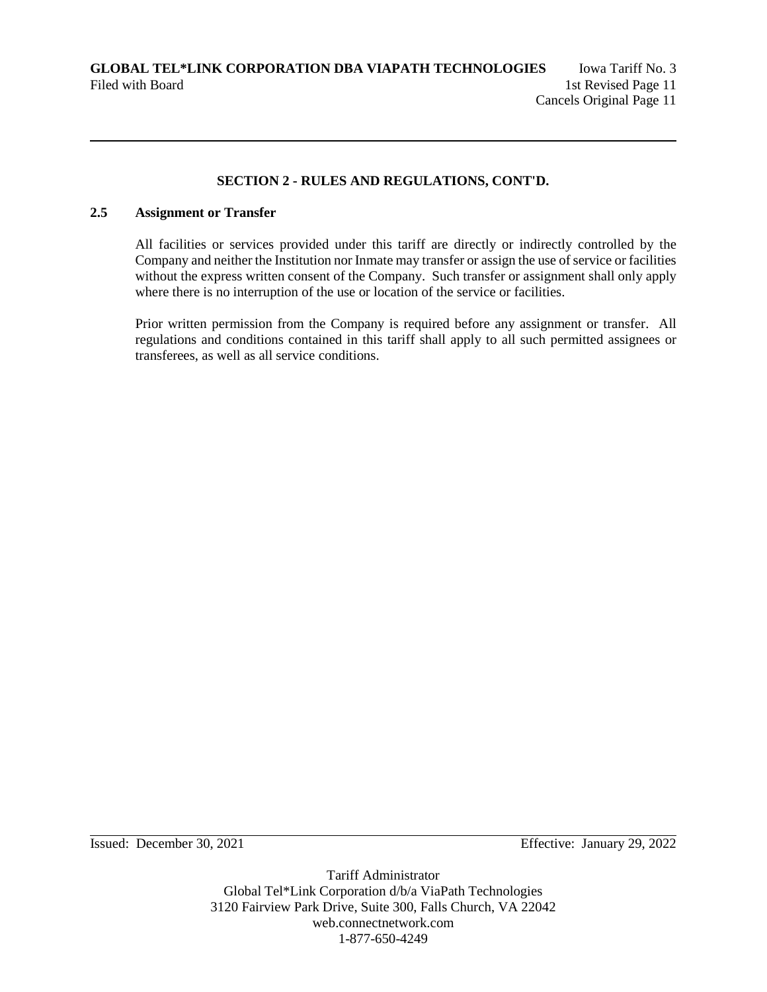## **2.5 Assignment or Transfer**

All facilities or services provided under this tariff are directly or indirectly controlled by the Company and neither the Institution nor Inmate may transfer or assign the use of service or facilities without the express written consent of the Company. Such transfer or assignment shall only apply where there is no interruption of the use or location of the service or facilities.

Prior written permission from the Company is required before any assignment or transfer. All regulations and conditions contained in this tariff shall apply to all such permitted assignees or transferees, as well as all service conditions.

Issued: December 30, 2021 Effective: January 29, 2022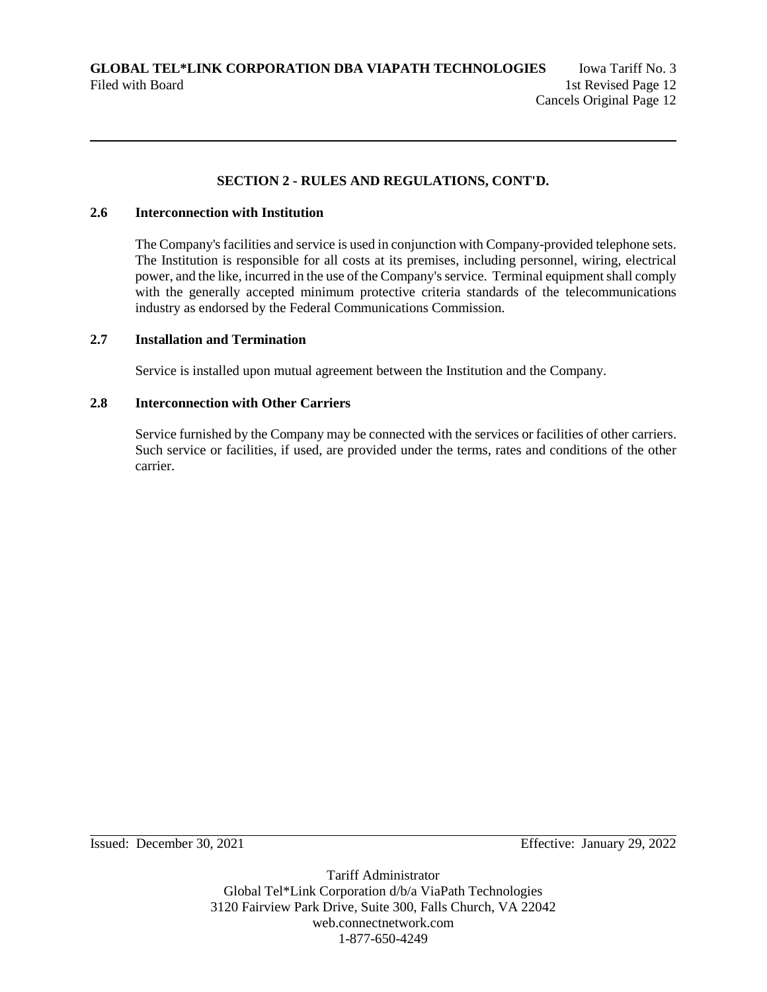### **2.6 Interconnection with Institution**

The Company's facilities and service is used in conjunction with Company-provided telephone sets. The Institution is responsible for all costs at its premises, including personnel, wiring, electrical power, and the like, incurred in the use of the Company's service. Terminal equipment shall comply with the generally accepted minimum protective criteria standards of the telecommunications industry as endorsed by the Federal Communications Commission.

### **2.7 Installation and Termination**

Service is installed upon mutual agreement between the Institution and the Company.

### **2.8 Interconnection with Other Carriers**

Service furnished by the Company may be connected with the services or facilities of other carriers. Such service or facilities, if used, are provided under the terms, rates and conditions of the other carrier.

Issued: December 30, 2021 Effective: January 29, 2022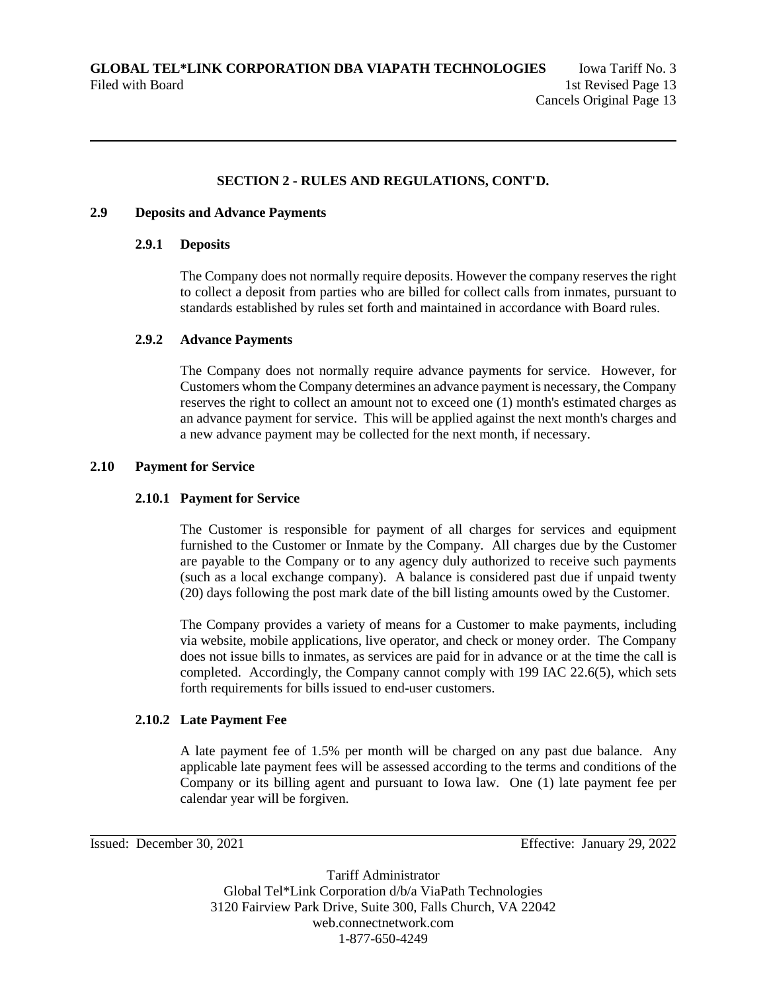### **2.9 Deposits and Advance Payments**

#### **2.9.1 Deposits**

The Company does not normally require deposits. However the company reserves the right to collect a deposit from parties who are billed for collect calls from inmates, pursuant to standards established by rules set forth and maintained in accordance with Board rules.

### **2.9.2 Advance Payments**

The Company does not normally require advance payments for service. However, for Customers whom the Company determines an advance payment is necessary, the Company reserves the right to collect an amount not to exceed one (1) month's estimated charges as an advance payment for service. This will be applied against the next month's charges and a new advance payment may be collected for the next month, if necessary.

### **2.10 Payment for Service**

#### **2.10.1 Payment for Service**

The Customer is responsible for payment of all charges for services and equipment furnished to the Customer or Inmate by the Company. All charges due by the Customer are payable to the Company or to any agency duly authorized to receive such payments (such as a local exchange company). A balance is considered past due if unpaid twenty (20) days following the post mark date of the bill listing amounts owed by the Customer.

The Company provides a variety of means for a Customer to make payments, including via website, mobile applications, live operator, and check or money order. The Company does not issue bills to inmates, as services are paid for in advance or at the time the call is completed. Accordingly, the Company cannot comply with 199 IAC 22.6(5), which sets forth requirements for bills issued to end-user customers.

## **2.10.2 Late Payment Fee**

A late payment fee of 1.5% per month will be charged on any past due balance. Any applicable late payment fees will be assessed according to the terms and conditions of the Company or its billing agent and pursuant to Iowa law. One (1) late payment fee per calendar year will be forgiven.

Issued: December 30, 2021 Effective: January 29, 2022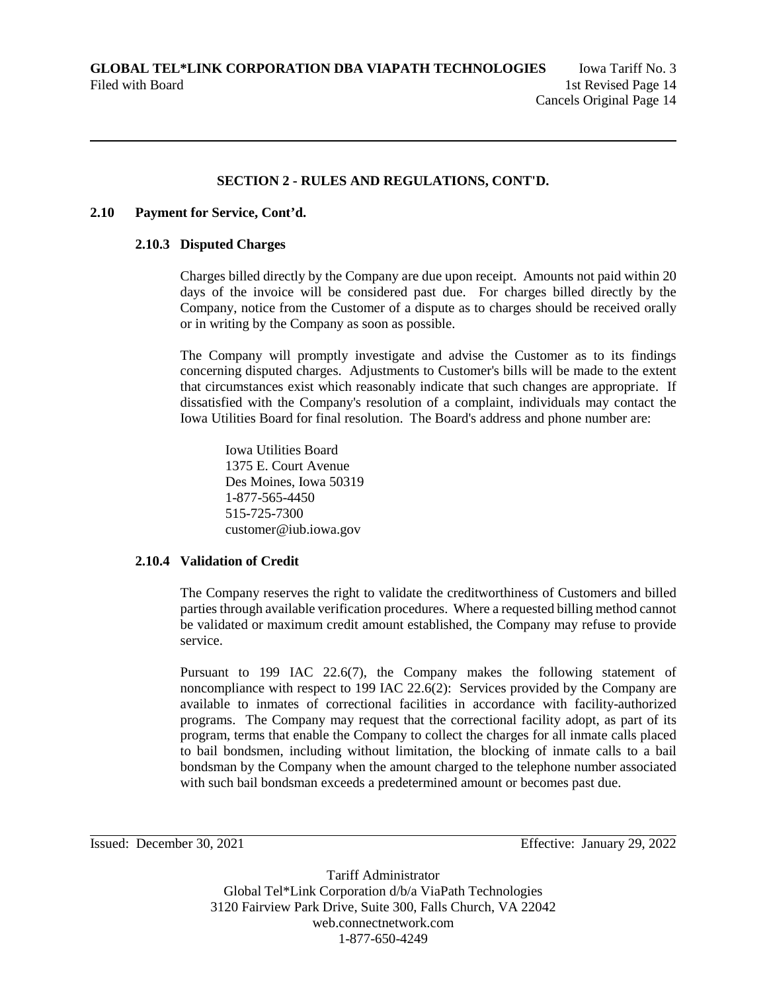#### **2.10 Payment for Service, Cont'd.**

#### **2.10.3 Disputed Charges**

Charges billed directly by the Company are due upon receipt. Amounts not paid within 20 days of the invoice will be considered past due. For charges billed directly by the Company, notice from the Customer of a dispute as to charges should be received orally or in writing by the Company as soon as possible.

The Company will promptly investigate and advise the Customer as to its findings concerning disputed charges. Adjustments to Customer's bills will be made to the extent that circumstances exist which reasonably indicate that such changes are appropriate. If dissatisfied with the Company's resolution of a complaint, individuals may contact the Iowa Utilities Board for final resolution. The Board's address and phone number are:

Iowa Utilities Board 1375 E. Court Avenue Des Moines, Iowa 50319 1-877-565-4450 515-725-7300 customer@iub.iowa.gov

#### **2.10.4 Validation of Credit**

The Company reserves the right to validate the creditworthiness of Customers and billed parties through available verification procedures. Where a requested billing method cannot be validated or maximum credit amount established, the Company may refuse to provide service.

Pursuant to 199 IAC 22.6(7), the Company makes the following statement of noncompliance with respect to 199 IAC 22.6(2): Services provided by the Company are available to inmates of correctional facilities in accordance with facility-authorized programs. The Company may request that the correctional facility adopt, as part of its program, terms that enable the Company to collect the charges for all inmate calls placed to bail bondsmen, including without limitation, the blocking of inmate calls to a bail bondsman by the Company when the amount charged to the telephone number associated with such bail bondsman exceeds a predetermined amount or becomes past due.

Issued: December 30, 2021 Effective: January 29, 2022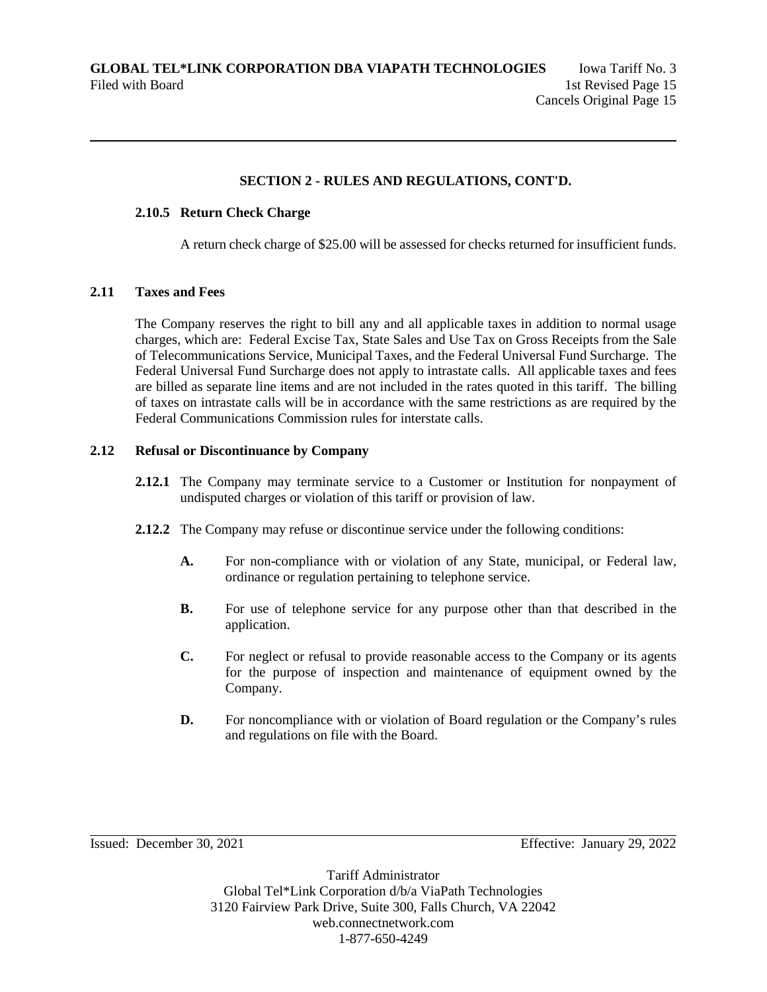## **2.10.5 Return Check Charge**

A return check charge of \$25.00 will be assessed for checks returned for insufficient funds.

### **2.11 Taxes and Fees**

The Company reserves the right to bill any and all applicable taxes in addition to normal usage charges, which are: Federal Excise Tax, State Sales and Use Tax on Gross Receipts from the Sale of Telecommunications Service, Municipal Taxes, and the Federal Universal Fund Surcharge. The Federal Universal Fund Surcharge does not apply to intrastate calls. All applicable taxes and fees are billed as separate line items and are not included in the rates quoted in this tariff. The billing of taxes on intrastate calls will be in accordance with the same restrictions as are required by the Federal Communications Commission rules for interstate calls.

### **2.12 Refusal or Discontinuance by Company**

- **2.12.1** The Company may terminate service to a Customer or Institution for nonpayment of undisputed charges or violation of this tariff or provision of law.
- **2.12.2** The Company may refuse or discontinue service under the following conditions:
	- **A.** For non-compliance with or violation of any State, municipal, or Federal law, ordinance or regulation pertaining to telephone service.
	- **B.** For use of telephone service for any purpose other than that described in the application.
	- **C.** For neglect or refusal to provide reasonable access to the Company or its agents for the purpose of inspection and maintenance of equipment owned by the Company.
	- **D.** For noncompliance with or violation of Board regulation or the Company's rules and regulations on file with the Board.

Issued: December 30, 2021 Effective: January 29, 2022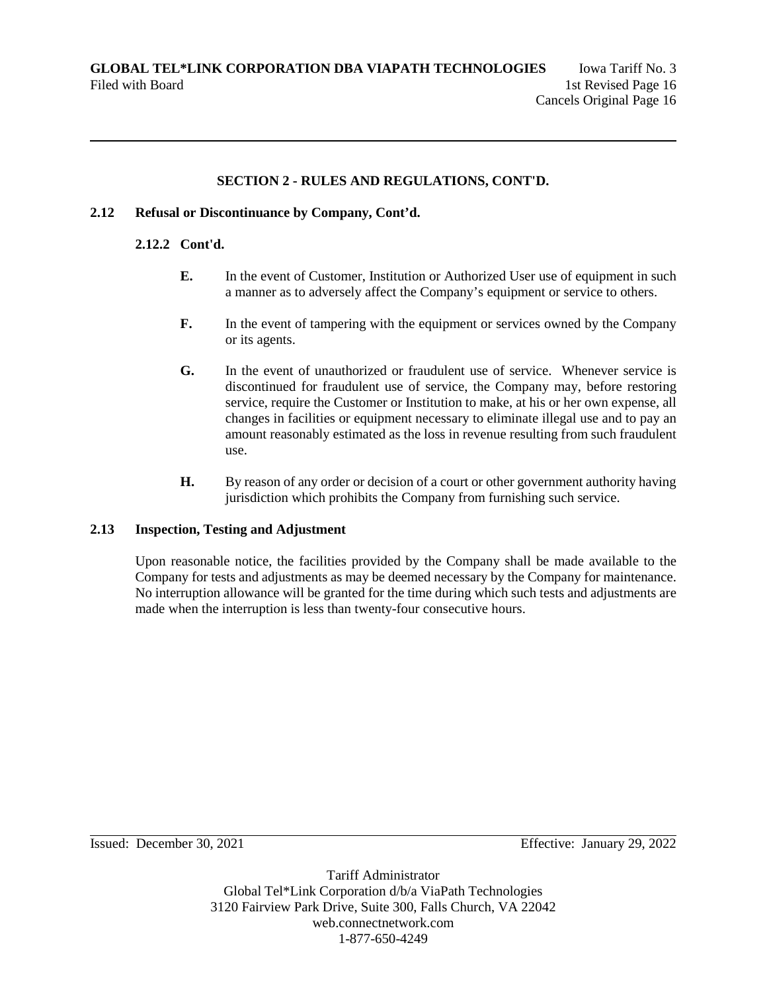## **2.12 Refusal or Discontinuance by Company, Cont'd.**

### **2.12.2 Cont'd.**

- **E.** In the event of Customer, Institution or Authorized User use of equipment in such a manner as to adversely affect the Company's equipment or service to others.
- **F.** In the event of tampering with the equipment or services owned by the Company or its agents.
- **G.** In the event of unauthorized or fraudulent use of service. Whenever service is discontinued for fraudulent use of service, the Company may, before restoring service, require the Customer or Institution to make, at his or her own expense, all changes in facilities or equipment necessary to eliminate illegal use and to pay an amount reasonably estimated as the loss in revenue resulting from such fraudulent use.
- **H.** By reason of any order or decision of a court or other government authority having jurisdiction which prohibits the Company from furnishing such service.

## **2.13 Inspection, Testing and Adjustment**

Upon reasonable notice, the facilities provided by the Company shall be made available to the Company for tests and adjustments as may be deemed necessary by the Company for maintenance. No interruption allowance will be granted for the time during which such tests and adjustments are made when the interruption is less than twenty-four consecutive hours.

Issued: December 30, 2021 Effective: January 29, 2022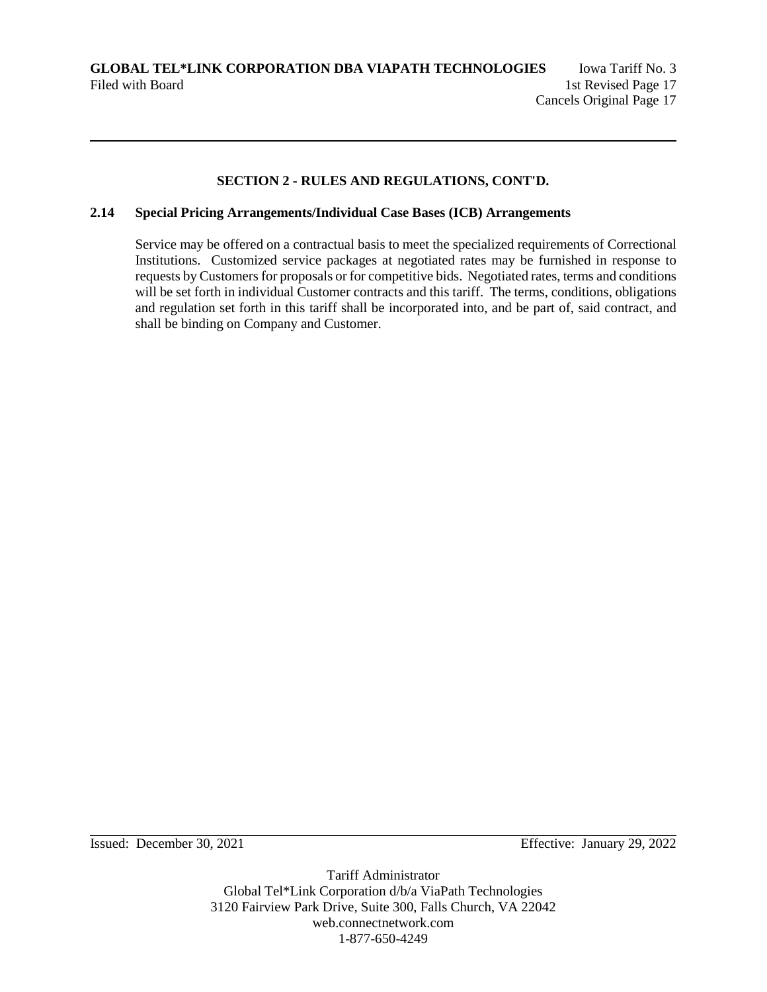### **2.14 Special Pricing Arrangements/Individual Case Bases (ICB) Arrangements**

Service may be offered on a contractual basis to meet the specialized requirements of Correctional Institutions. Customized service packages at negotiated rates may be furnished in response to requests by Customers for proposals or for competitive bids. Negotiated rates, terms and conditions will be set forth in individual Customer contracts and this tariff. The terms, conditions, obligations and regulation set forth in this tariff shall be incorporated into, and be part of, said contract, and shall be binding on Company and Customer.

Issued: December 30, 2021 Effective: January 29, 2022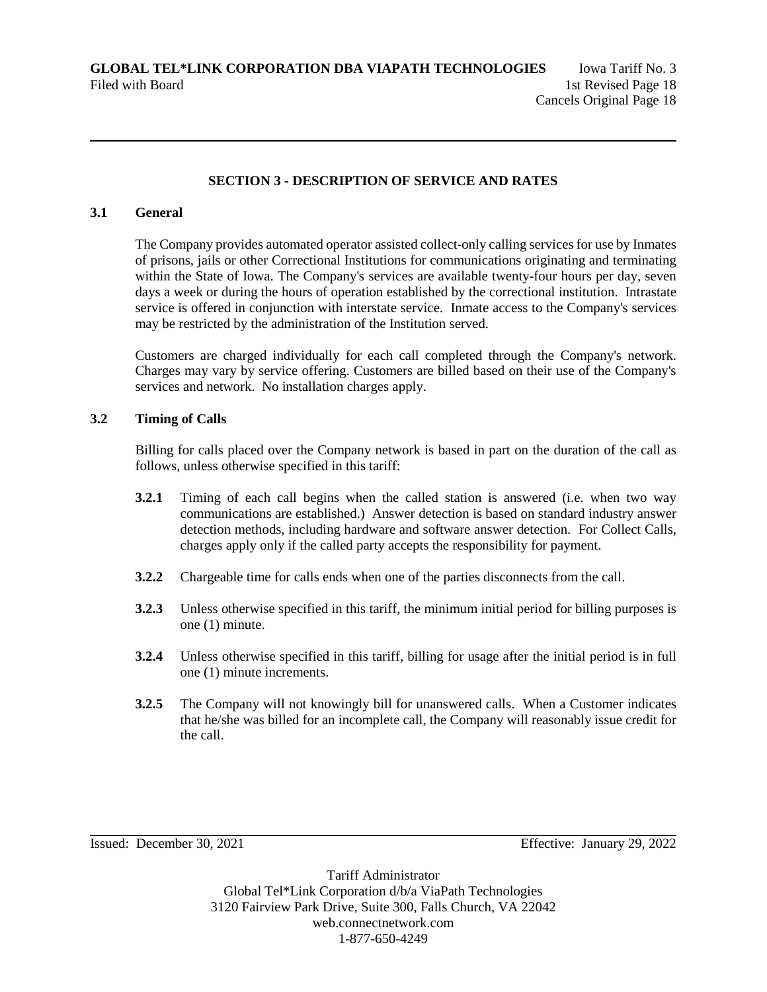### **SECTION 3 - DESCRIPTION OF SERVICE AND RATES**

### **3.1 General**

The Company provides automated operator assisted collect-only calling services for use by Inmates of prisons, jails or other Correctional Institutions for communications originating and terminating within the State of Iowa. The Company's services are available twenty-four hours per day, seven days a week or during the hours of operation established by the correctional institution. Intrastate service is offered in conjunction with interstate service. Inmate access to the Company's services may be restricted by the administration of the Institution served.

Customers are charged individually for each call completed through the Company's network. Charges may vary by service offering. Customers are billed based on their use of the Company's services and network. No installation charges apply.

### **3.2 Timing of Calls**

Billing for calls placed over the Company network is based in part on the duration of the call as follows, unless otherwise specified in this tariff:

- **3.2.1** Timing of each call begins when the called station is answered (i.e. when two way communications are established.) Answer detection is based on standard industry answer detection methods, including hardware and software answer detection. For Collect Calls, charges apply only if the called party accepts the responsibility for payment.
- **3.2.2** Chargeable time for calls ends when one of the parties disconnects from the call.
- **3.2.3** Unless otherwise specified in this tariff, the minimum initial period for billing purposes is one (1) minute.
- **3.2.4** Unless otherwise specified in this tariff, billing for usage after the initial period is in full one (1) minute increments.
- **3.2.5** The Company will not knowingly bill for unanswered calls. When a Customer indicates that he/she was billed for an incomplete call, the Company will reasonably issue credit for the call.

Issued: December 30, 2021 Effective: January 29, 2022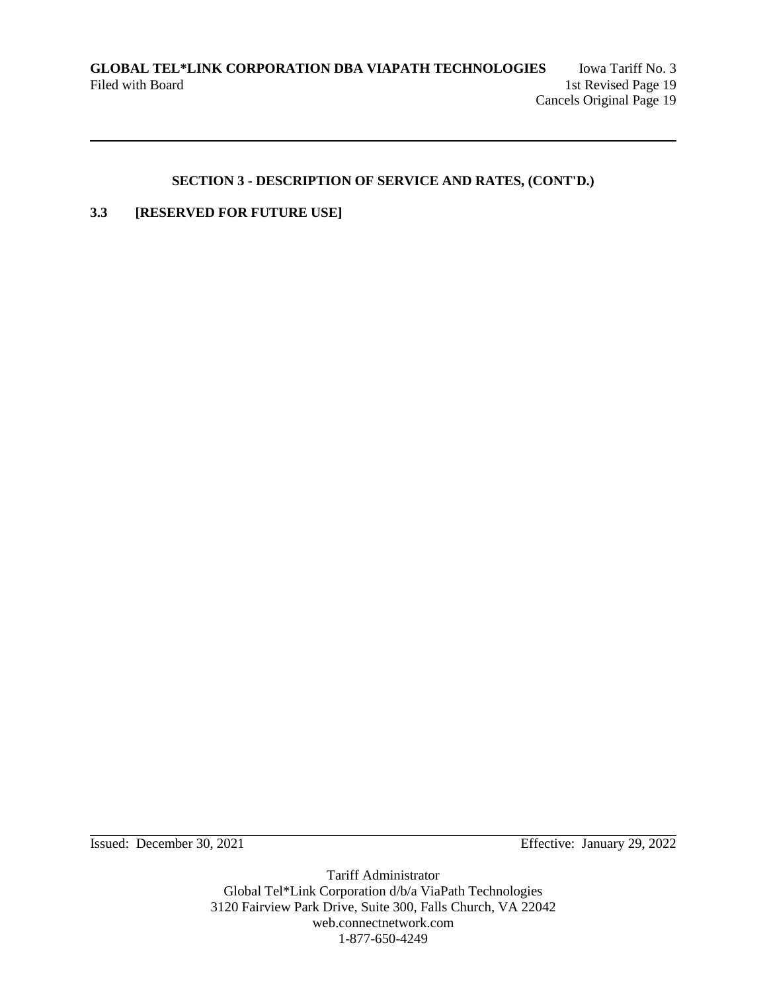# **3.3 [RESERVED FOR FUTURE USE]**

Issued: December 30, 2021 Effective: January 29, 2022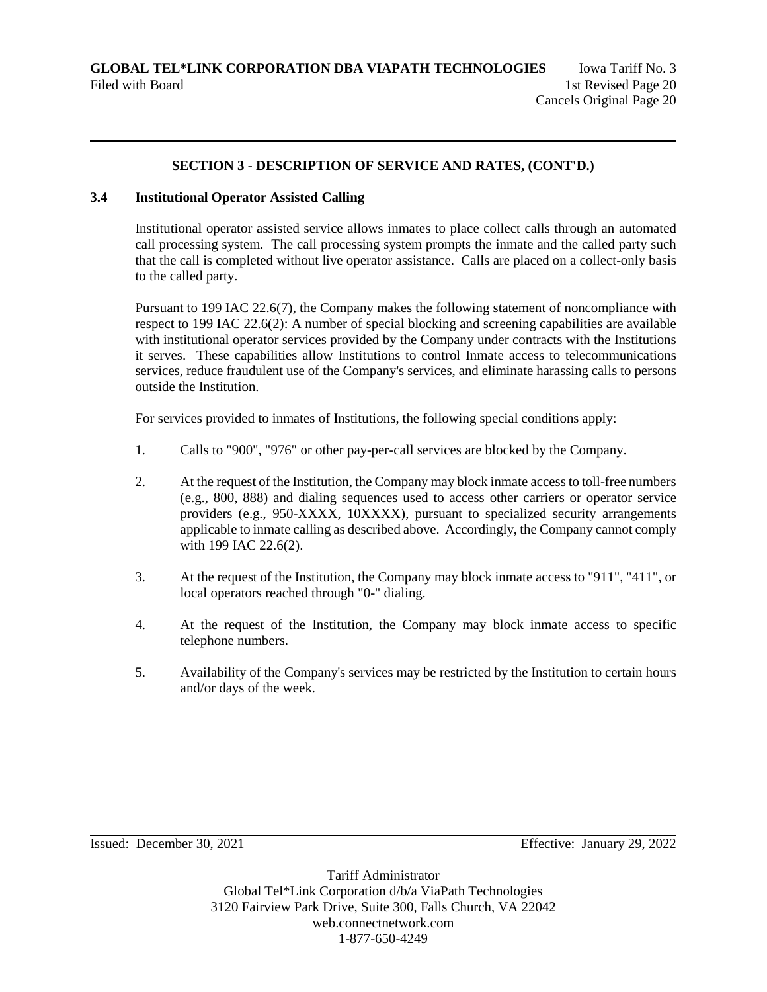## **3.4 Institutional Operator Assisted Calling**

Institutional operator assisted service allows inmates to place collect calls through an automated call processing system. The call processing system prompts the inmate and the called party such that the call is completed without live operator assistance. Calls are placed on a collect-only basis to the called party.

Pursuant to 199 IAC 22.6(7), the Company makes the following statement of noncompliance with respect to 199 IAC 22.6(2): A number of special blocking and screening capabilities are available with institutional operator services provided by the Company under contracts with the Institutions it serves. These capabilities allow Institutions to control Inmate access to telecommunications services, reduce fraudulent use of the Company's services, and eliminate harassing calls to persons outside the Institution.

For services provided to inmates of Institutions, the following special conditions apply:

- 1. Calls to "900", "976" or other pay-per-call services are blocked by the Company.
- 2. At the request of the Institution, the Company may block inmate access to toll-free numbers (e.g., 800, 888) and dialing sequences used to access other carriers or operator service providers (e.g., 950-XXXX, 10XXXX), pursuant to specialized security arrangements applicable to inmate calling as described above. Accordingly, the Company cannot comply with 199 IAC 22.6(2).
- 3. At the request of the Institution, the Company may block inmate access to "911", "411", or local operators reached through "0-" dialing.
- 4. At the request of the Institution, the Company may block inmate access to specific telephone numbers.
- 5. Availability of the Company's services may be restricted by the Institution to certain hours and/or days of the week.

Issued: December 30, 2021 Effective: January 29, 2022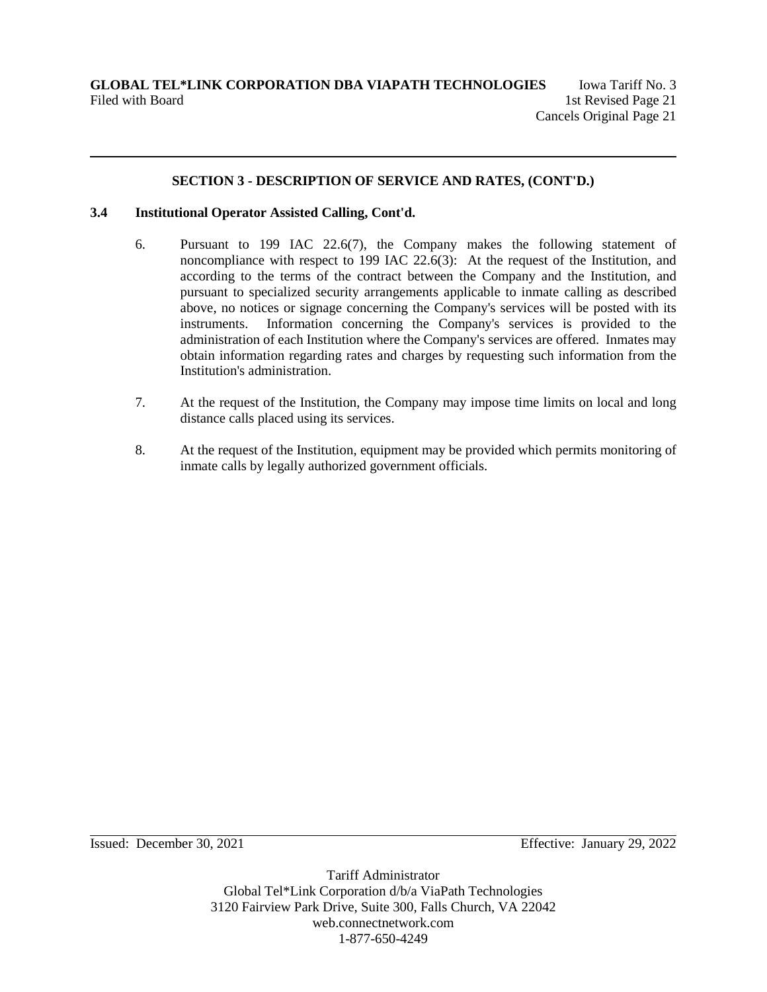### **3.4 Institutional Operator Assisted Calling, Cont'd.**

- 6. Pursuant to 199 IAC 22.6(7), the Company makes the following statement of noncompliance with respect to 199 IAC 22.6(3): At the request of the Institution, and according to the terms of the contract between the Company and the Institution, and pursuant to specialized security arrangements applicable to inmate calling as described above, no notices or signage concerning the Company's services will be posted with its instruments. Information concerning the Company's services is provided to the administration of each Institution where the Company's services are offered. Inmates may obtain information regarding rates and charges by requesting such information from the Institution's administration.
- 7. At the request of the Institution, the Company may impose time limits on local and long distance calls placed using its services.
- 8. At the request of the Institution, equipment may be provided which permits monitoring of inmate calls by legally authorized government officials.

Issued: December 30, 2021 Effective: January 29, 2022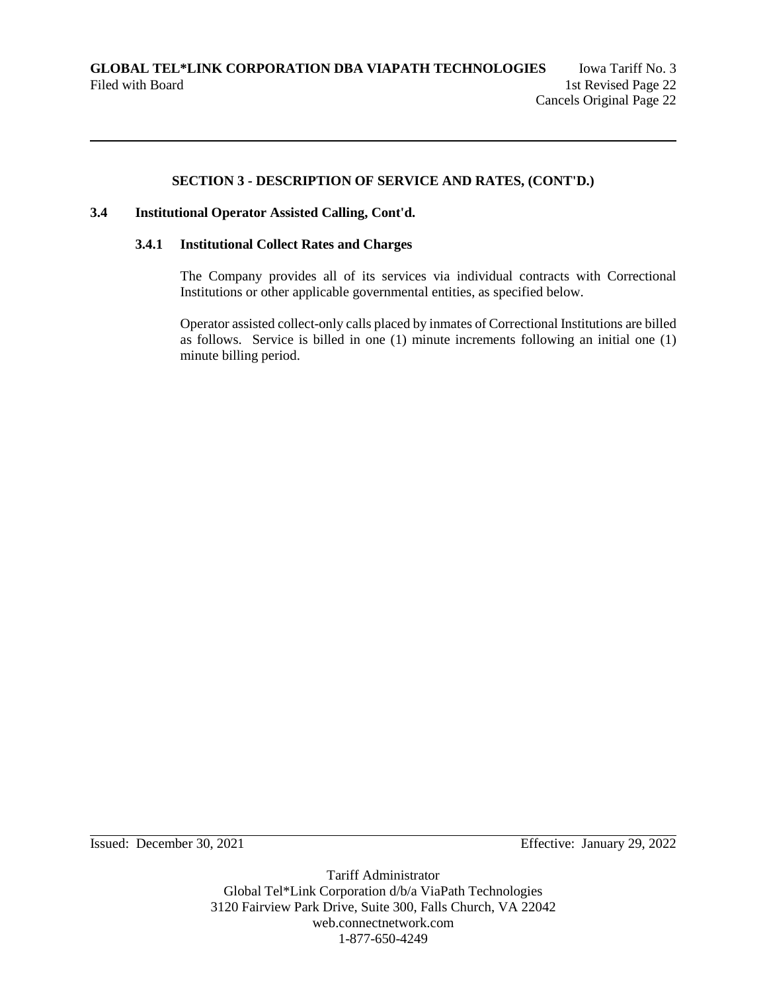### **3.4 Institutional Operator Assisted Calling, Cont'd.**

### **3.4.1 Institutional Collect Rates and Charges**

The Company provides all of its services via individual contracts with Correctional Institutions or other applicable governmental entities, as specified below.

Operator assisted collect-only calls placed by inmates of Correctional Institutions are billed as follows. Service is billed in one (1) minute increments following an initial one (1) minute billing period.

Issued: December 30, 2021 Effective: January 29, 2022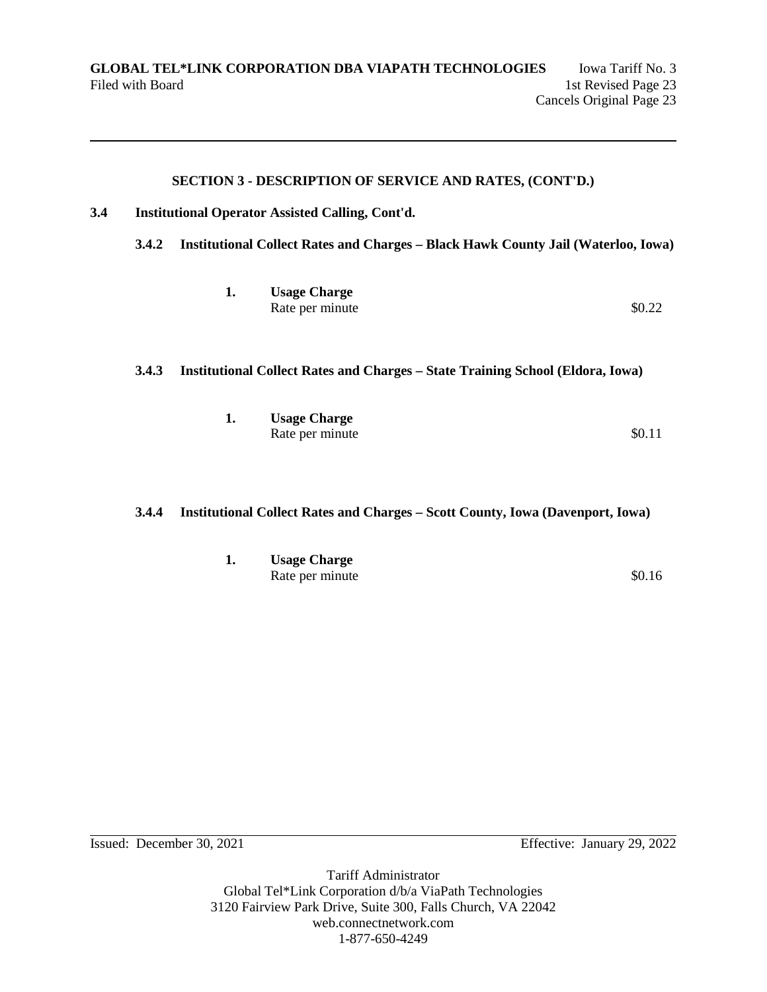## **3.4 Institutional Operator Assisted Calling, Cont'd.**

**3.4.2 Institutional Collect Rates and Charges – Black Hawk County Jail (Waterloo, Iowa)** 

| 1. | <b>Usage Charge</b> |        |
|----|---------------------|--------|
|    | Rate per minute     | \$0.22 |

### **3.4.3 Institutional Collect Rates and Charges – State Training School (Eldora, Iowa)**

| ı. | <b>Usage Charge</b> |        |
|----|---------------------|--------|
|    | Rate per minute     | \$0.11 |

## **3.4.4 Institutional Collect Rates and Charges – Scott County, Iowa (Davenport, Iowa)**

| ı. | <b>Usage Charge</b> |        |  |  |
|----|---------------------|--------|--|--|
|    | Rate per minute     | \$0.16 |  |  |

Issued: December 30, 2021 Effective: January 29, 2022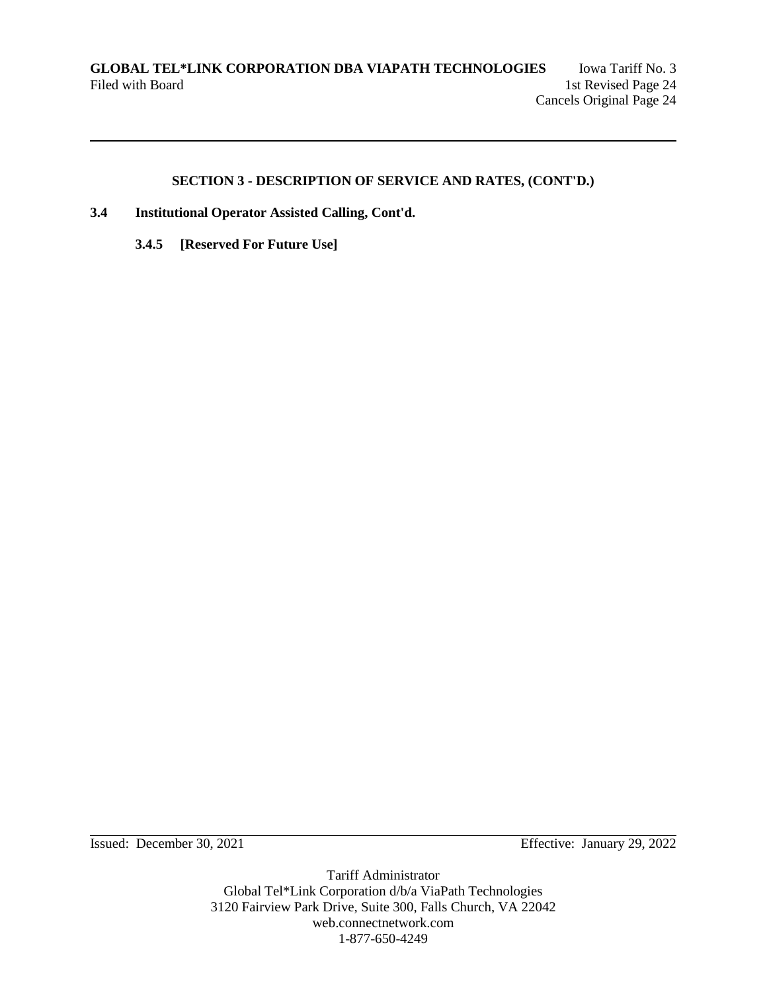- **3.4 Institutional Operator Assisted Calling, Cont'd.**
	- **3.4.5 [Reserved For Future Use]**

Issued: December 30, 2021 Effective: January 29, 2022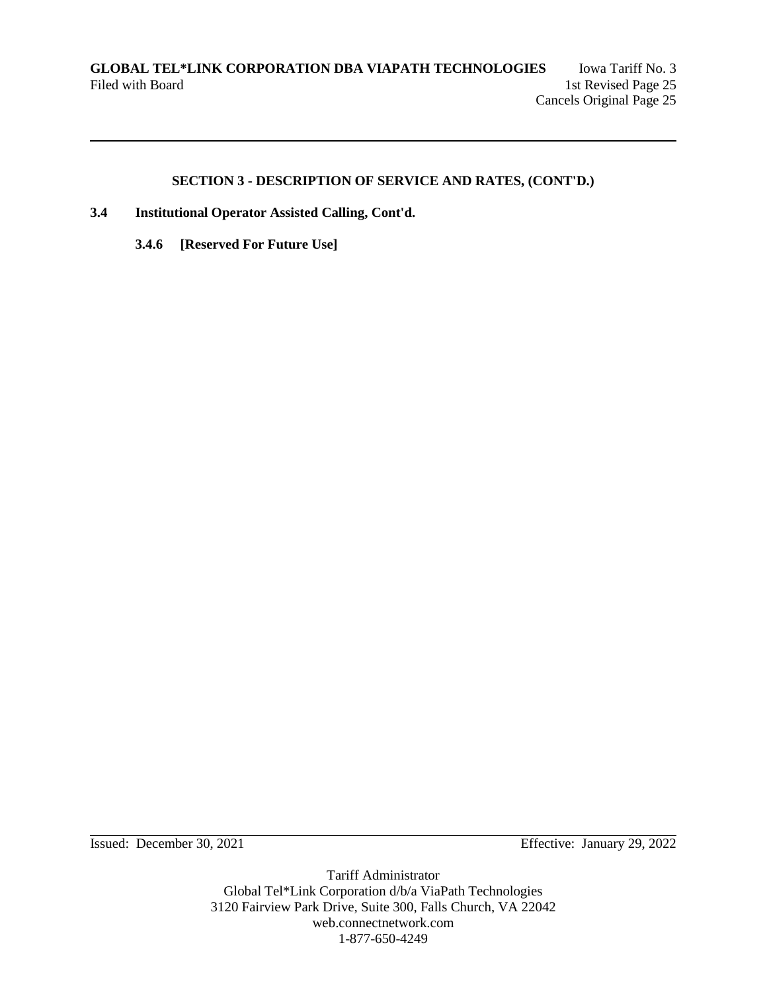- **3.4 Institutional Operator Assisted Calling, Cont'd.**
	- **3.4.6 [Reserved For Future Use]**

Issued: December 30, 2021 Effective: January 29, 2022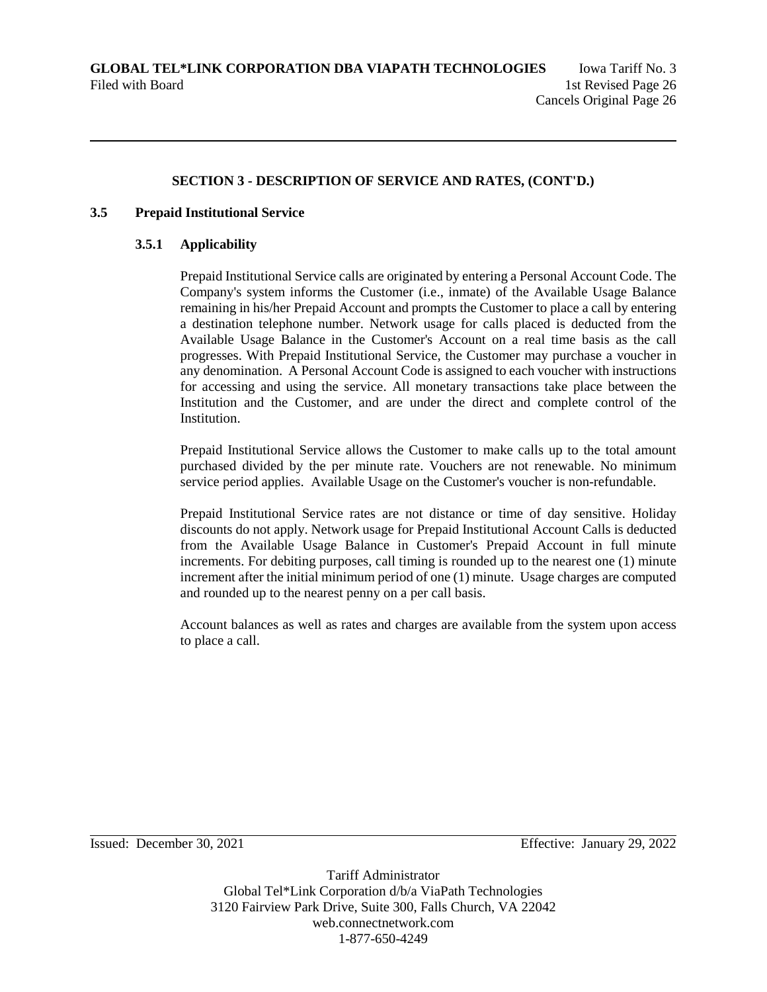### **3.5 Prepaid Institutional Service**

### **3.5.1 Applicability**

Prepaid Institutional Service calls are originated by entering a Personal Account Code. The Company's system informs the Customer (i.e., inmate) of the Available Usage Balance remaining in his/her Prepaid Account and prompts the Customer to place a call by entering a destination telephone number. Network usage for calls placed is deducted from the Available Usage Balance in the Customer's Account on a real time basis as the call progresses. With Prepaid Institutional Service, the Customer may purchase a voucher in any denomination. A Personal Account Code is assigned to each voucher with instructions for accessing and using the service. All monetary transactions take place between the Institution and the Customer, and are under the direct and complete control of the **Institution** 

Prepaid Institutional Service allows the Customer to make calls up to the total amount purchased divided by the per minute rate. Vouchers are not renewable. No minimum service period applies. Available Usage on the Customer's voucher is non-refundable.

Prepaid Institutional Service rates are not distance or time of day sensitive. Holiday discounts do not apply. Network usage for Prepaid Institutional Account Calls is deducted from the Available Usage Balance in Customer's Prepaid Account in full minute increments. For debiting purposes, call timing is rounded up to the nearest one (1) minute increment after the initial minimum period of one (1) minute. Usage charges are computed and rounded up to the nearest penny on a per call basis.

Account balances as well as rates and charges are available from the system upon access to place a call.

Issued: December 30, 2021 Effective: January 29, 2022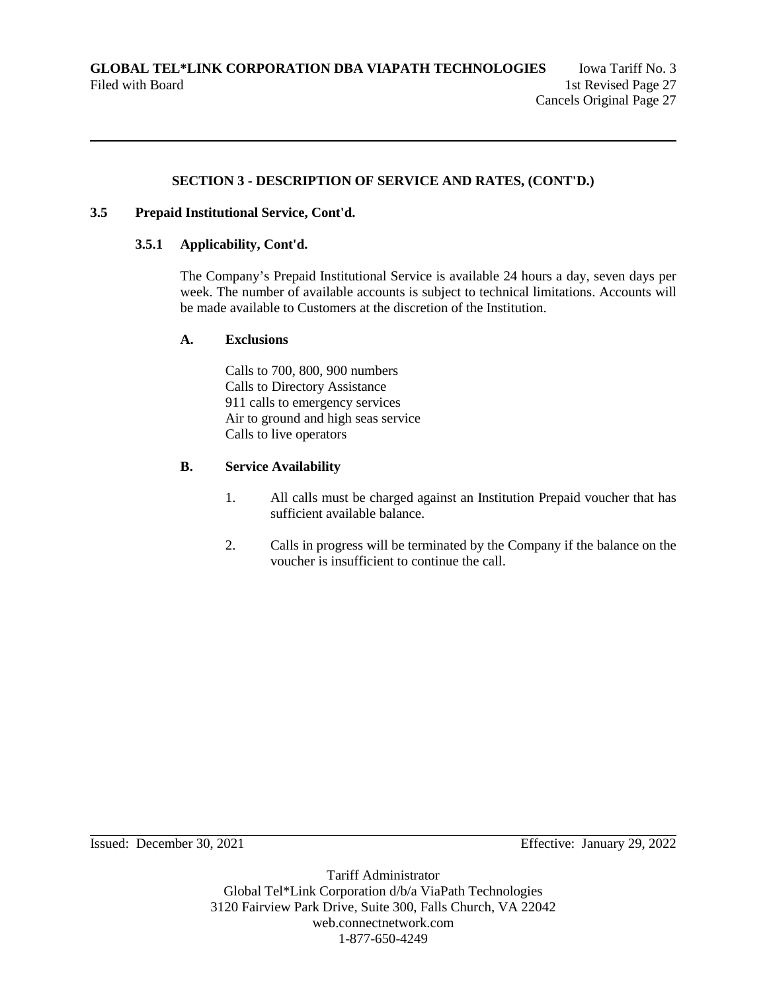### **3.5 Prepaid Institutional Service, Cont'd.**

### **3.5.1 Applicability, Cont'd.**

The Company's Prepaid Institutional Service is available 24 hours a day, seven days per week. The number of available accounts is subject to technical limitations. Accounts will be made available to Customers at the discretion of the Institution.

### **A. Exclusions**

Calls to 700, 800, 900 numbers Calls to Directory Assistance 911 calls to emergency services Air to ground and high seas service Calls to live operators

### **B. Service Availability**

- 1. All calls must be charged against an Institution Prepaid voucher that has sufficient available balance.
- 2. Calls in progress will be terminated by the Company if the balance on the voucher is insufficient to continue the call.

Issued: December 30, 2021 Effective: January 29, 2022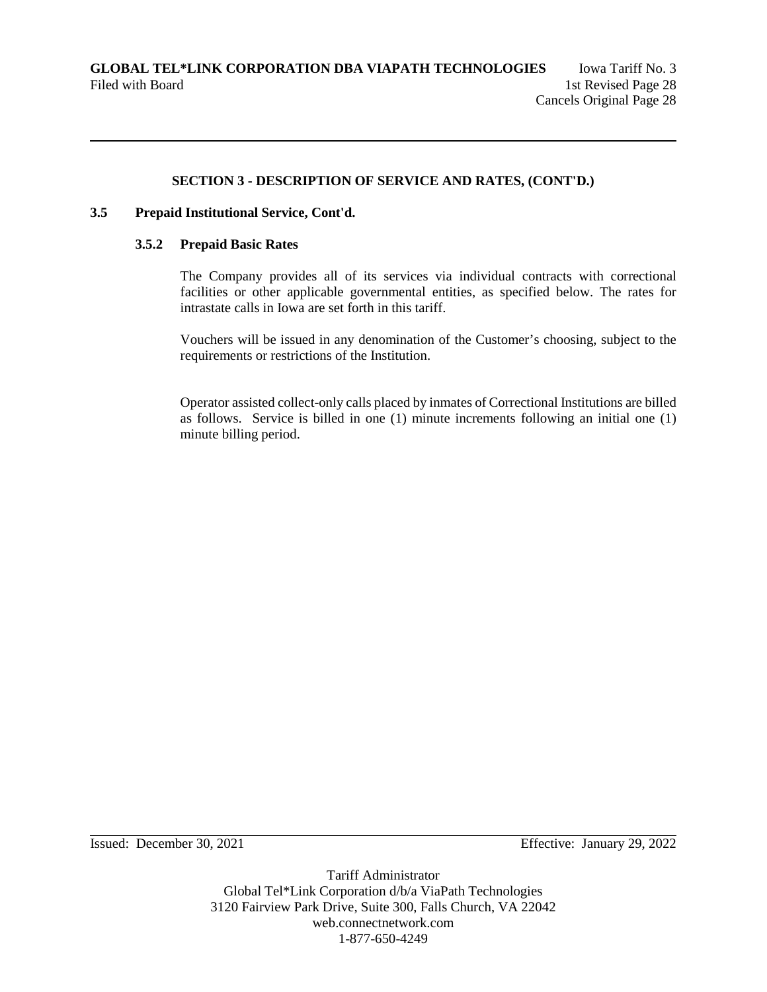## **3.5 Prepaid Institutional Service, Cont'd.**

### **3.5.2 Prepaid Basic Rates**

The Company provides all of its services via individual contracts with correctional facilities or other applicable governmental entities, as specified below. The rates for intrastate calls in Iowa are set forth in this tariff.

Vouchers will be issued in any denomination of the Customer's choosing, subject to the requirements or restrictions of the Institution.

Operator assisted collect-only calls placed by inmates of Correctional Institutions are billed as follows. Service is billed in one (1) minute increments following an initial one (1) minute billing period.

Issued: December 30, 2021 Effective: January 29, 2022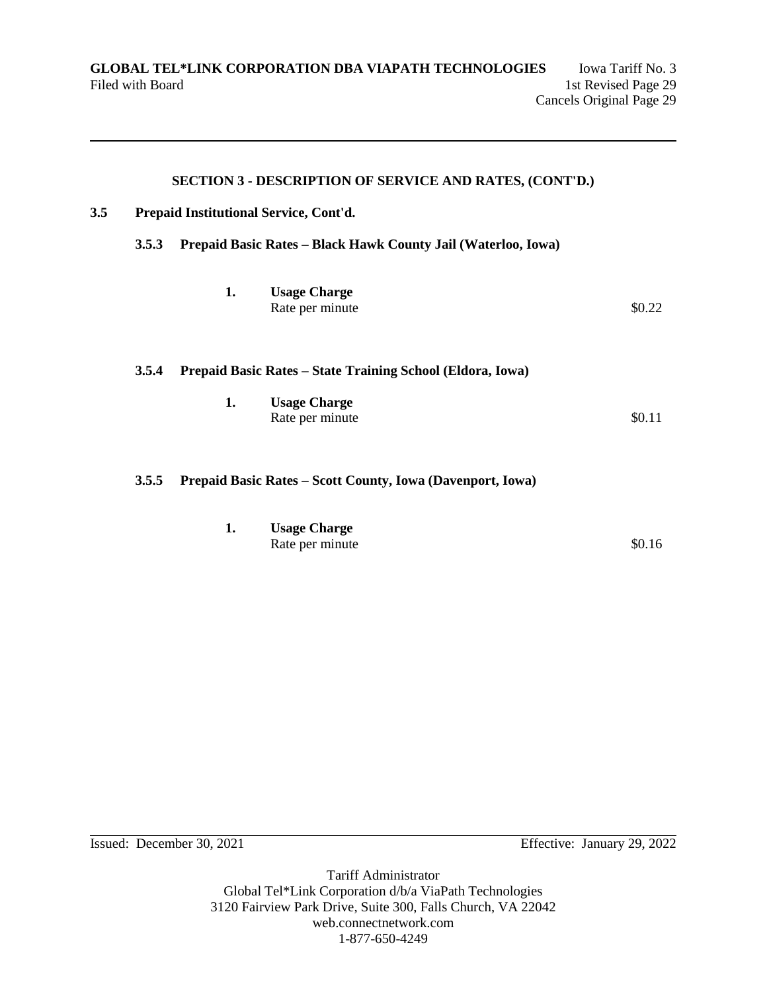|     |       |    | <b>SECTION 3 - DESCRIPTION OF SERVICE AND RATES, (CONT'D.)</b>                    |        |
|-----|-------|----|-----------------------------------------------------------------------------------|--------|
| 3.5 |       |    | Prepaid Institutional Service, Cont'd.                                            |        |
|     | 3.5.3 |    | Prepaid Basic Rates - Black Hawk County Jail (Waterloo, Iowa)                     |        |
|     |       | 1. | <b>Usage Charge</b><br>Rate per minute                                            | \$0.22 |
|     | 3.5.4 | 1. | Prepaid Basic Rates - State Training School (Eldora, Iowa)<br><b>Usage Charge</b> |        |
|     |       |    | Rate per minute                                                                   | \$0.11 |
|     | 3.5.5 |    | Prepaid Basic Rates – Scott County, Iowa (Davenport, Iowa)                        |        |

| ı. | <b>Usage Charge</b> |        |
|----|---------------------|--------|
|    | Rate per minute     | \$0.16 |

Issued: December 30, 2021 Effective: January 29, 2022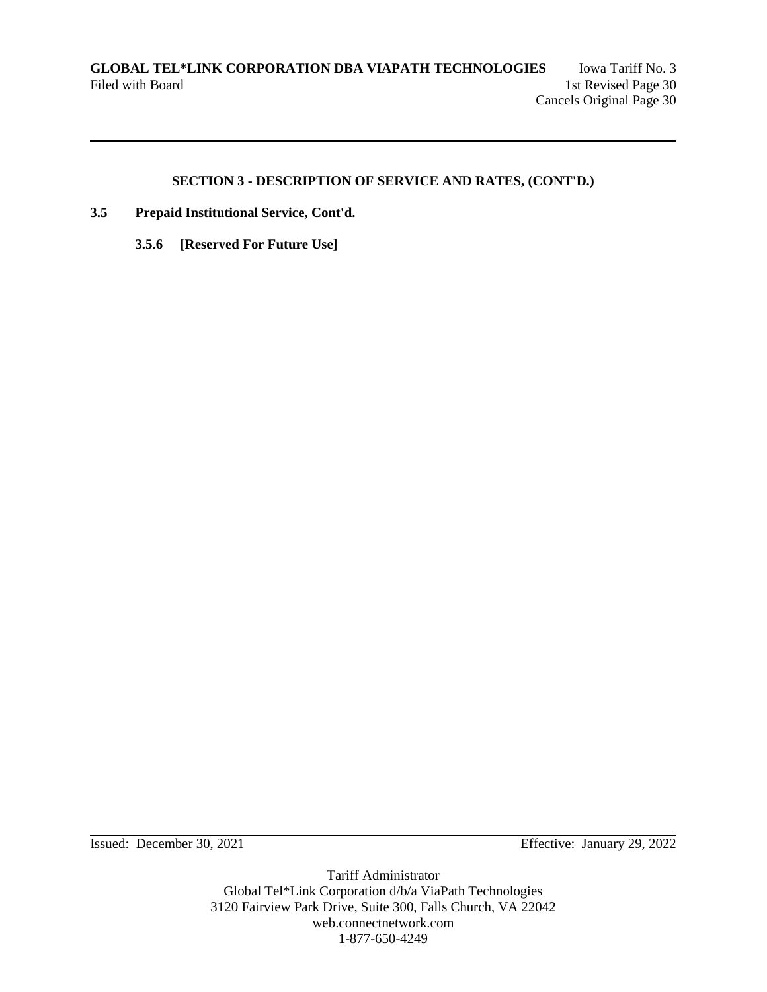- **3.5 Prepaid Institutional Service, Cont'd.**
	- **3.5.6 [Reserved For Future Use]**

Issued: December 30, 2021 Effective: January 29, 2022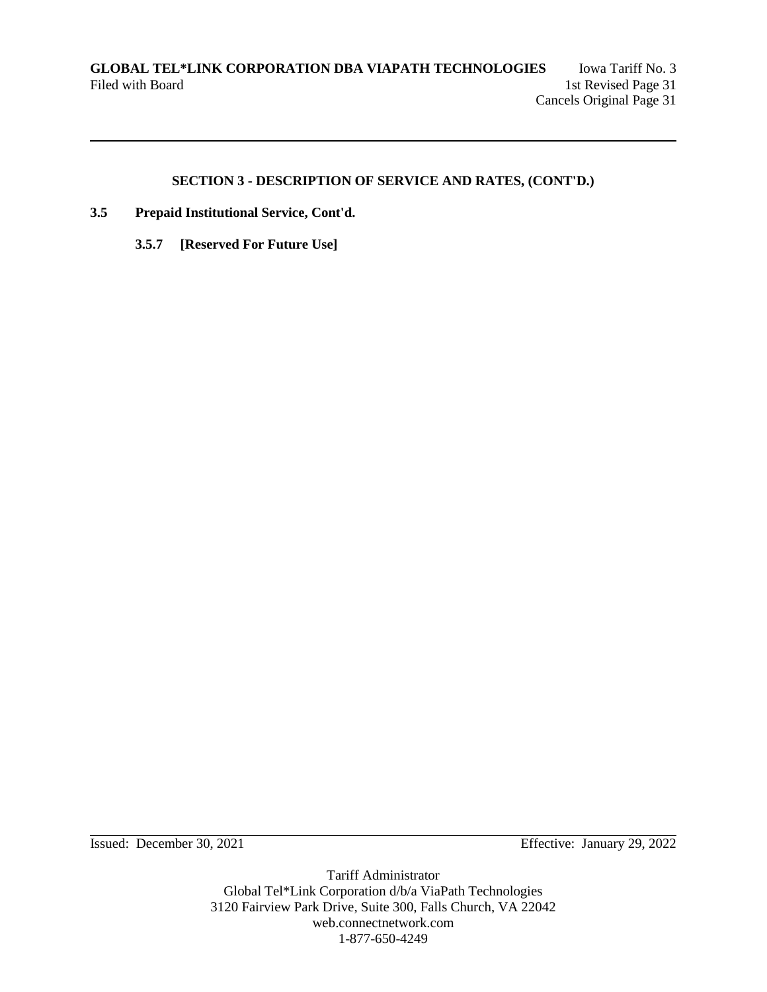- **3.5 Prepaid Institutional Service, Cont'd.**
	- **3.5.7 [Reserved For Future Use]**

Issued: December 30, 2021 Effective: January 29, 2022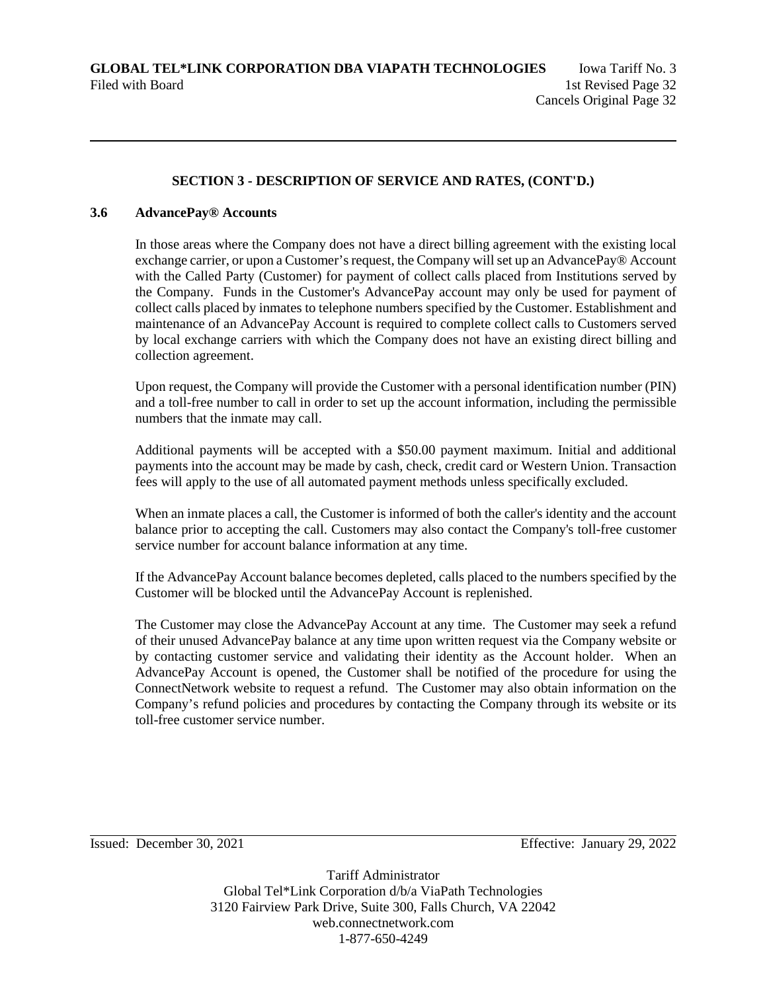### **3.6 AdvancePay® Accounts**

In those areas where the Company does not have a direct billing agreement with the existing local exchange carrier, or upon a Customer's request, the Company will set up an AdvancePay® Account with the Called Party (Customer) for payment of collect calls placed from Institutions served by the Company. Funds in the Customer's AdvancePay account may only be used for payment of collect calls placed by inmates to telephone numbers specified by the Customer. Establishment and maintenance of an AdvancePay Account is required to complete collect calls to Customers served by local exchange carriers with which the Company does not have an existing direct billing and collection agreement.

Upon request, the Company will provide the Customer with a personal identification number (PIN) and a toll-free number to call in order to set up the account information, including the permissible numbers that the inmate may call.

Additional payments will be accepted with a \$50.00 payment maximum. Initial and additional payments into the account may be made by cash, check, credit card or Western Union. Transaction fees will apply to the use of all automated payment methods unless specifically excluded.

When an inmate places a call, the Customer is informed of both the caller's identity and the account balance prior to accepting the call. Customers may also contact the Company's toll-free customer service number for account balance information at any time.

If the AdvancePay Account balance becomes depleted, calls placed to the numbers specified by the Customer will be blocked until the AdvancePay Account is replenished.

The Customer may close the AdvancePay Account at any time. The Customer may seek a refund of their unused AdvancePay balance at any time upon written request via the Company website or by contacting customer service and validating their identity as the Account holder. When an AdvancePay Account is opened, the Customer shall be notified of the procedure for using the ConnectNetwork website to request a refund. The Customer may also obtain information on the Company's refund policies and procedures by contacting the Company through its website or its toll-free customer service number.

Issued: December 30, 2021 Effective: January 29, 2022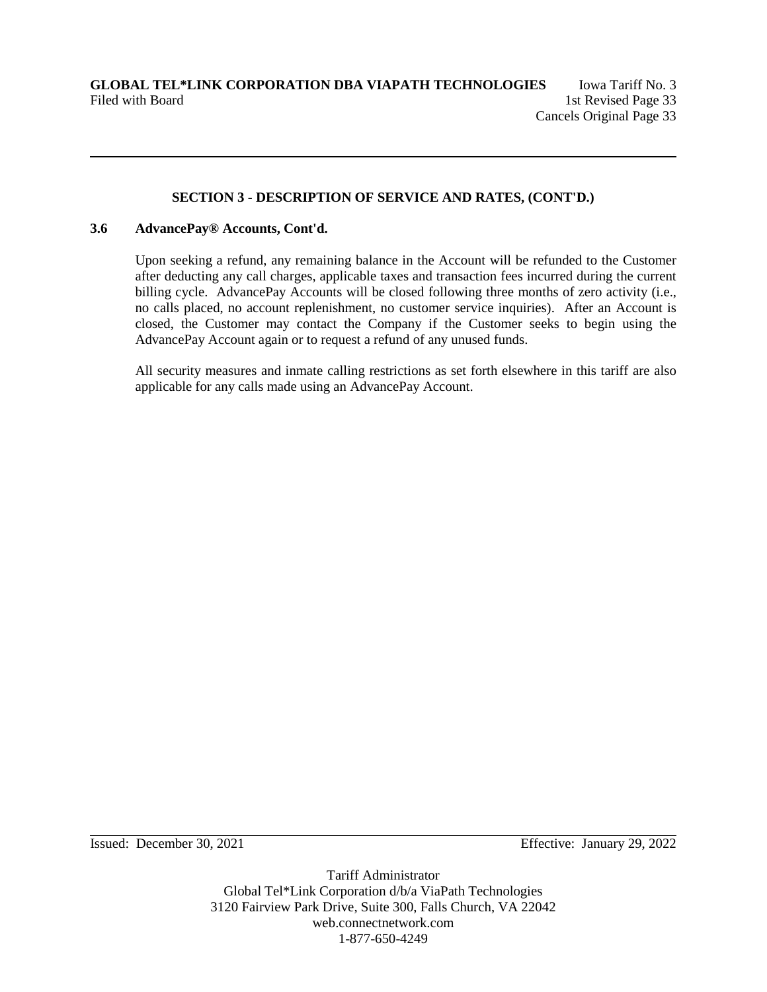### **3.6 AdvancePay® Accounts, Cont'd.**

Upon seeking a refund, any remaining balance in the Account will be refunded to the Customer after deducting any call charges, applicable taxes and transaction fees incurred during the current billing cycle. AdvancePay Accounts will be closed following three months of zero activity (i.e., no calls placed, no account replenishment, no customer service inquiries). After an Account is closed, the Customer may contact the Company if the Customer seeks to begin using the AdvancePay Account again or to request a refund of any unused funds.

All security measures and inmate calling restrictions as set forth elsewhere in this tariff are also applicable for any calls made using an AdvancePay Account.

Issued: December 30, 2021 Effective: January 29, 2022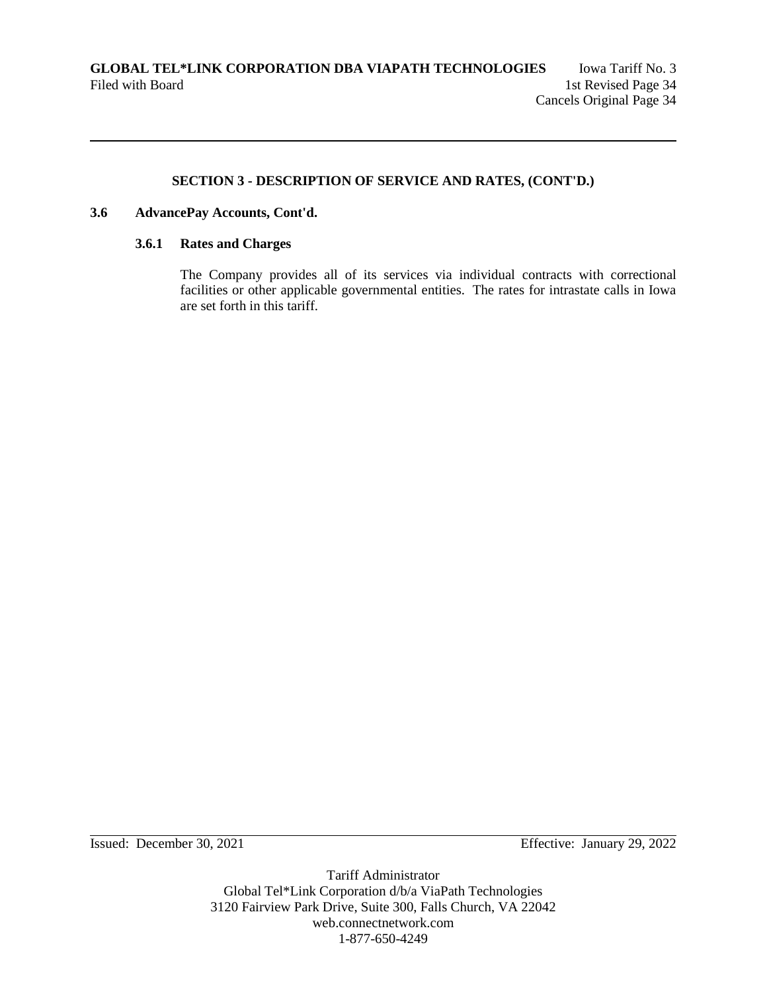### **3.6 AdvancePay Accounts, Cont'd.**

### **3.6.1 Rates and Charges**

The Company provides all of its services via individual contracts with correctional facilities or other applicable governmental entities. The rates for intrastate calls in Iowa are set forth in this tariff.

Issued: December 30, 2021 Effective: January 29, 2022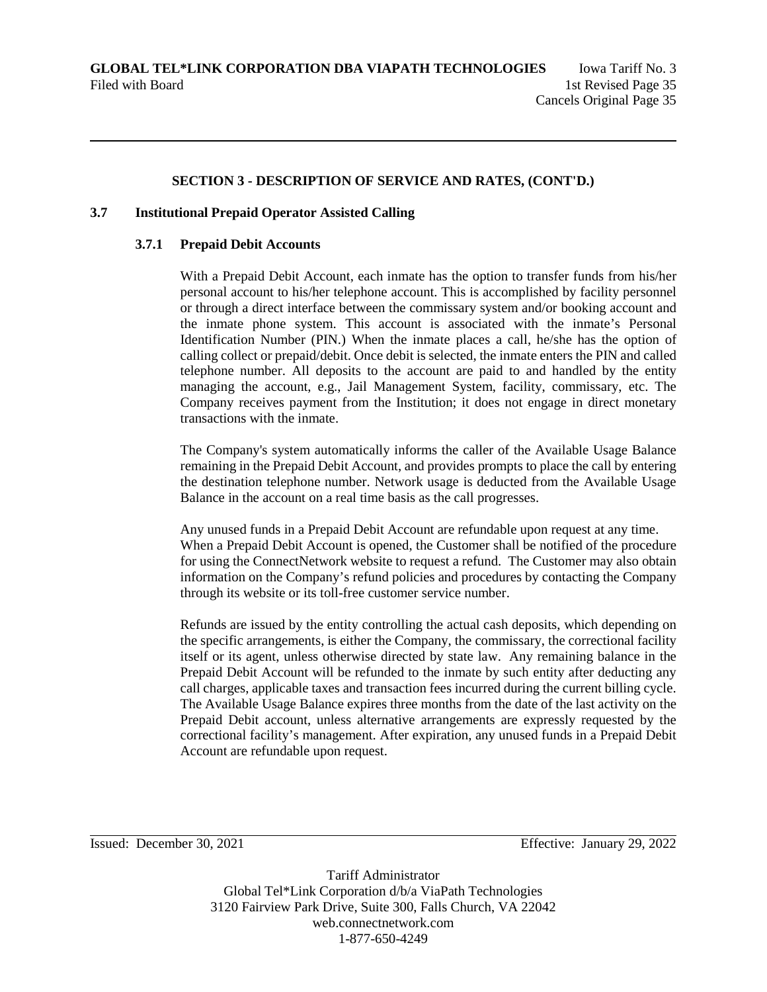### **3.7 Institutional Prepaid Operator Assisted Calling**

#### **3.7.1 Prepaid Debit Accounts**

With a Prepaid Debit Account, each inmate has the option to transfer funds from his/her personal account to his/her telephone account. This is accomplished by facility personnel or through a direct interface between the commissary system and/or booking account and the inmate phone system. This account is associated with the inmate's Personal Identification Number (PIN.) When the inmate places a call, he/she has the option of calling collect or prepaid/debit. Once debit is selected, the inmate enters the PIN and called telephone number. All deposits to the account are paid to and handled by the entity managing the account, e.g., Jail Management System, facility, commissary, etc. The Company receives payment from the Institution; it does not engage in direct monetary transactions with the inmate.

The Company's system automatically informs the caller of the Available Usage Balance remaining in the Prepaid Debit Account, and provides prompts to place the call by entering the destination telephone number. Network usage is deducted from the Available Usage Balance in the account on a real time basis as the call progresses.

Any unused funds in a Prepaid Debit Account are refundable upon request at any time. When a Prepaid Debit Account is opened, the Customer shall be notified of the procedure for using the ConnectNetwork website to request a refund. The Customer may also obtain information on the Company's refund policies and procedures by contacting the Company through its website or its toll-free customer service number.

Refunds are issued by the entity controlling the actual cash deposits, which depending on the specific arrangements, is either the Company, the commissary, the correctional facility itself or its agent, unless otherwise directed by state law. Any remaining balance in the Prepaid Debit Account will be refunded to the inmate by such entity after deducting any call charges, applicable taxes and transaction fees incurred during the current billing cycle. The Available Usage Balance expires three months from the date of the last activity on the Prepaid Debit account, unless alternative arrangements are expressly requested by the correctional facility's management. After expiration, any unused funds in a Prepaid Debit Account are refundable upon request.

Issued: December 30, 2021 Effective: January 29, 2022